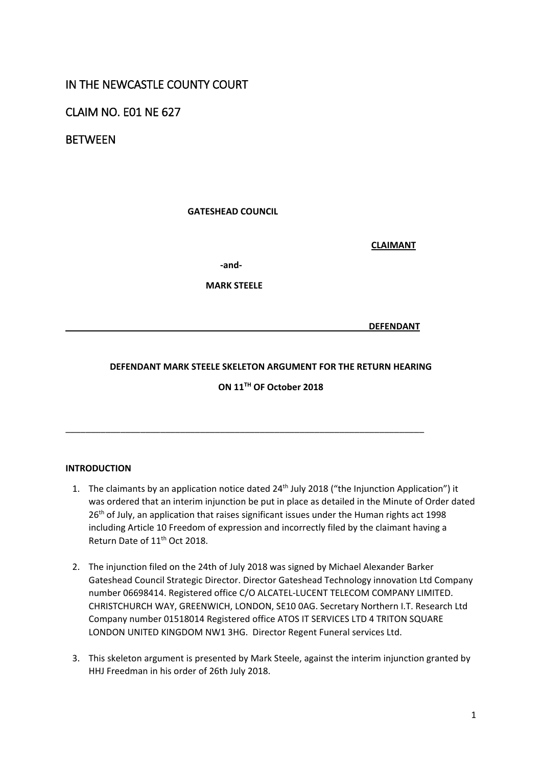# IN THE NEWCASTLE COUNTY COURT

CLAIM NO. E01 NE 627

## **BETWEEN**

### **GATESHEAD COUNCIL**

**CLAIMANT**

 **-and-**

 **MARK STEELE**

 **DEFENDANT** 

### **DEFENDANT MARK STEELE SKELETON ARGUMENT FOR THE RETURN HEARING**

## **ON 11TH OF October 2018**

\_\_\_\_\_\_\_\_\_\_\_\_\_\_\_\_\_\_\_\_\_\_\_\_\_\_\_\_\_\_\_\_\_\_\_\_\_\_\_\_\_\_\_\_\_\_\_\_\_\_\_\_\_\_\_\_\_\_\_\_\_\_\_\_\_\_\_\_\_\_\_\_

#### **INTRODUCTION**

- 1. The claimants by an application notice dated 24<sup>th</sup> July 2018 ("the Injunction Application") it was ordered that an interim injunction be put in place as detailed in the Minute of Order dated 26<sup>th</sup> of July, an application that raises significant issues under the Human rights act 1998 including Article 10 Freedom of expression and incorrectly filed by the claimant having a Return Date of 11<sup>th</sup> Oct 2018.
- 2. The injunction filed on the 24th of July 2018 was signed by Michael Alexander Barker Gateshead Council Strategic Director. Director Gateshead Technology innovation Ltd Company number 06698414. Registered office C/O ALCATEL-LUCENT TELECOM COMPANY LIMITED. CHRISTCHURCH WAY, GREENWICH, LONDON, SE10 0AG. Secretary Northern I.T. Research Ltd Company number 01518014 Registered office ATOS IT SERVICES LTD 4 TRITON SQUARE LONDON UNITED KINGDOM NW1 3HG. Director Regent Funeral services Ltd.
- 3. This skeleton argument is presented by Mark Steele, against the interim injunction granted by HHJ Freedman in his order of 26th July 2018.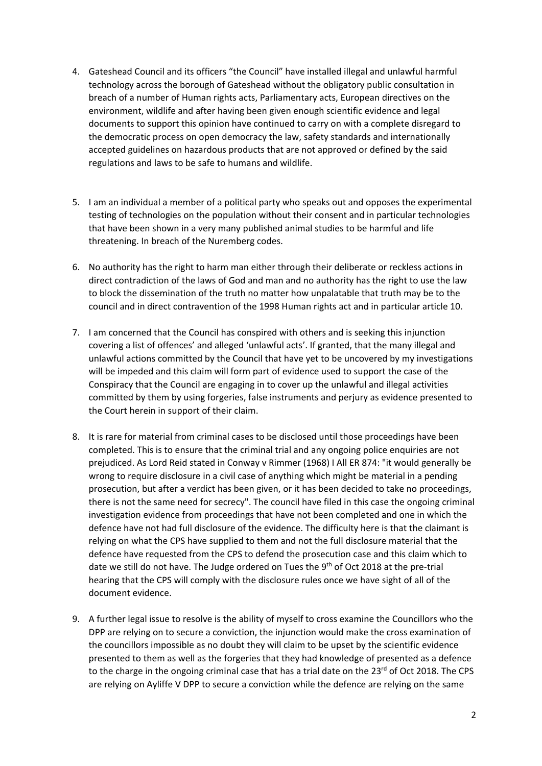- 4. Gateshead Council and its officers "the Council" have installed illegal and unlawful harmful technology across the borough of Gateshead without the obligatory public consultation in breach of a number of Human rights acts, Parliamentary acts, European directives on the environment, wildlife and after having been given enough scientific evidence and legal documents to support this opinion have continued to carry on with a complete disregard to the democratic process on open democracy the law, safety standards and internationally accepted guidelines on hazardous products that are not approved or defined by the said regulations and laws to be safe to humans and wildlife.
- 5. I am an individual a member of a political party who speaks out and opposes the experimental testing of technologies on the population without their consent and in particular technologies that have been shown in a very many published animal studies to be harmful and life threatening. In breach of the Nuremberg codes.
- 6. No authority has the right to harm man either through their deliberate or reckless actions in direct contradiction of the laws of God and man and no authority has the right to use the law to block the dissemination of the truth no matter how unpalatable that truth may be to the council and in direct contravention of the 1998 Human rights act and in particular article 10.
- 7. I am concerned that the Council has conspired with others and is seeking this injunction covering a list of offences' and alleged 'unlawful acts'. If granted, that the many illegal and unlawful actions committed by the Council that have yet to be uncovered by my investigations will be impeded and this claim will form part of evidence used to support the case of the Conspiracy that the Council are engaging in to cover up the unlawful and illegal activities committed by them by using forgeries, false instruments and perjury as evidence presented to the Court herein in support of their claim.
- 8. It is rare for material from criminal cases to be disclosed until those proceedings have been completed. This is to ensure that the criminal trial and any ongoing police enquiries are not prejudiced. As Lord Reid stated in Conway v Rimmer (1968) I All ER 874: "it would generally be wrong to require disclosure in a civil case of anything which might be material in a pending prosecution, but after a verdict has been given, or it has been decided to take no proceedings, there is not the same need for secrecy". The council have filed in this case the ongoing criminal investigation evidence from proceedings that have not been completed and one in which the defence have not had full disclosure of the evidence. The difficulty here is that the claimant is relying on what the CPS have supplied to them and not the full disclosure material that the defence have requested from the CPS to defend the prosecution case and this claim which to date we still do not have. The Judge ordered on Tues the  $9<sup>th</sup>$  of Oct 2018 at the pre-trial hearing that the CPS will comply with the disclosure rules once we have sight of all of the document evidence.
- 9. A further legal issue to resolve is the ability of myself to cross examine the Councillors who the DPP are relying on to secure a conviction, the injunction would make the cross examination of the councillors impossible as no doubt they will claim to be upset by the scientific evidence presented to them as well as the forgeries that they had knowledge of presented as a defence to the charge in the ongoing criminal case that has a trial date on the 23<sup>rd</sup> of Oct 2018. The CPS are relying on Ayliffe V DPP to secure a conviction while the defence are relying on the same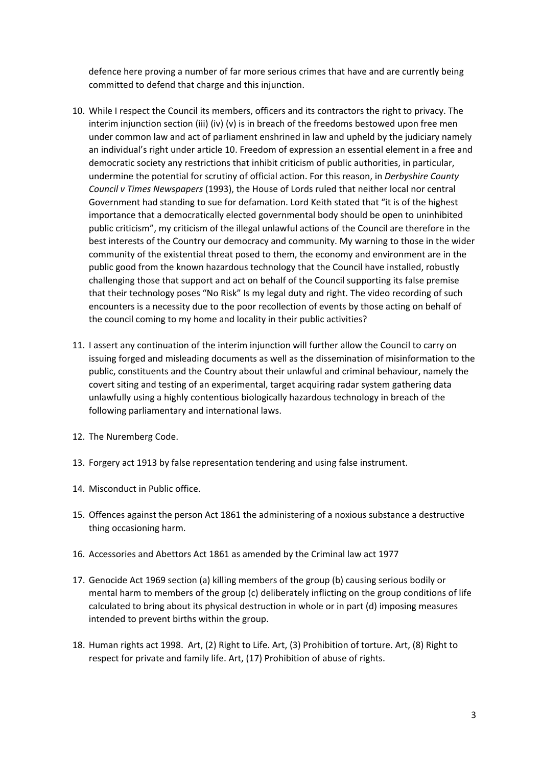defence here proving a number of far more serious crimes that have and are currently being committed to defend that charge and this injunction.

- 10. While I respect the Council its members, officers and its contractors the right to privacy. The interim injunction section (iii) (iv) (v) is in breach of the freedoms bestowed upon free men under common law and act of parliament enshrined in law and upheld by the judiciary namely an individual's right under article 10. Freedom of expression an essential element in a free and democratic society any restrictions that inhibit criticism of public authorities, in particular, undermine the potential for scrutiny of official action. For this reason, in *Derbyshire County Council v Times Newspapers* (1993), the House of Lords ruled that neither local nor central Government had standing to sue for defamation. Lord Keith stated that "it is of the highest importance that a democratically elected governmental body should be open to uninhibited public criticism", my criticism of the illegal unlawful actions of the Council are therefore in the best interests of the Country our democracy and community. My warning to those in the wider community of the existential threat posed to them, the economy and environment are in the public good from the known hazardous technology that the Council have installed, robustly challenging those that support and act on behalf of the Council supporting its false premise that their technology poses "No Risk" Is my legal duty and right. The video recording of such encounters is a necessity due to the poor recollection of events by those acting on behalf of the council coming to my home and locality in their public activities?
- 11. I assert any continuation of the interim injunction will further allow the Council to carry on issuing forged and misleading documents as well as the dissemination of misinformation to the public, constituents and the Country about their unlawful and criminal behaviour, namely the covert siting and testing of an experimental, target acquiring radar system gathering data unlawfully using a highly contentious biologically hazardous technology in breach of the following parliamentary and international laws.
- 12. The Nuremberg Code.
- 13. Forgery act 1913 by false representation tendering and using false instrument.
- 14. Misconduct in Public office.
- 15. Offences against the person Act 1861 the administering of a noxious substance a destructive thing occasioning harm.
- 16. Accessories and Abettors Act 1861 as amended by the Criminal law act 1977
- 17. Genocide Act 1969 section (a) killing members of the group (b) causing serious bodily or mental harm to members of the group (c) deliberately inflicting on the group conditions of life calculated to bring about its physical destruction in whole or in part (d) imposing measures intended to prevent births within the group.
- 18. Human rights act 1998. Art, (2) Right to Life. Art, (3) Prohibition of torture. Art, (8) Right to respect for private and family life. Art, (17) Prohibition of abuse of rights.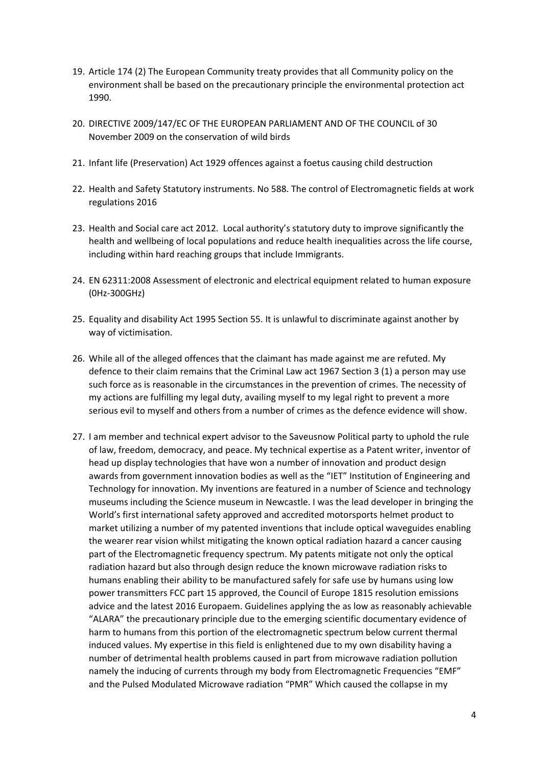- 19. Article 174 (2) The European Community treaty provides that all Community policy on the environment shall be based on the precautionary principle the environmental protection act 1990.
- 20. DIRECTIVE 2009/147/EC OF THE EUROPEAN PARLIAMENT AND OF THE COUNCIL of 30 November 2009 on the conservation of wild birds
- 21. Infant life (Preservation) Act 1929 offences against a foetus causing child destruction
- 22. Health and Safety Statutory instruments. No 588. The control of Electromagnetic fields at work regulations 2016
- 23. Health and Social care act 2012. Local authority's statutory duty to improve significantly the health and wellbeing of local populations and reduce health inequalities across the life course, including within hard reaching groups that include Immigrants.
- 24. EN 62311:2008 Assessment of electronic and electrical equipment related to human exposure (0Hz-300GHz)
- 25. Equality and disability Act 1995 Section 55. It is unlawful to discriminate against another by way of victimisation.
- 26. While all of the alleged offences that the claimant has made against me are refuted. My defence to their claim remains that the Criminal Law act 1967 Section 3 (1) a person may use such force as is reasonable in the circumstances in the prevention of crimes. The necessity of my actions are fulfilling my legal duty, availing myself to my legal right to prevent a more serious evil to myself and others from a number of crimes as the defence evidence will show.
- 27. I am member and technical expert advisor to the Saveusnow Political party to uphold the rule of law, freedom, democracy, and peace. My technical expertise as a Patent writer, inventor of head up display technologies that have won a number of innovation and product design awards from government innovation bodies as well as the "IET" Institution of Engineering and Technology for innovation. My inventions are featured in a number of Science and technology museums including the Science museum in Newcastle. I was the lead developer in bringing the World's first international safety approved and accredited motorsports helmet product to market utilizing a number of my patented inventions that include optical waveguides enabling the wearer rear vision whilst mitigating the known optical radiation hazard a cancer causing part of the Electromagnetic frequency spectrum. My patents mitigate not only the optical radiation hazard but also through design reduce the known microwave radiation risks to humans enabling their ability to be manufactured safely for safe use by humans using low power transmitters FCC part 15 approved, the Council of Europe 1815 resolution emissions advice and the latest 2016 Europaem. Guidelines applying the as low as reasonably achievable "ALARA" the precautionary principle due to the emerging scientific documentary evidence of harm to humans from this portion of the electromagnetic spectrum below current thermal induced values. My expertise in this field is enlightened due to my own disability having a number of detrimental health problems caused in part from microwave radiation pollution namely the inducing of currents through my body from Electromagnetic Frequencies "EMF" and the Pulsed Modulated Microwave radiation "PMR" Which caused the collapse in my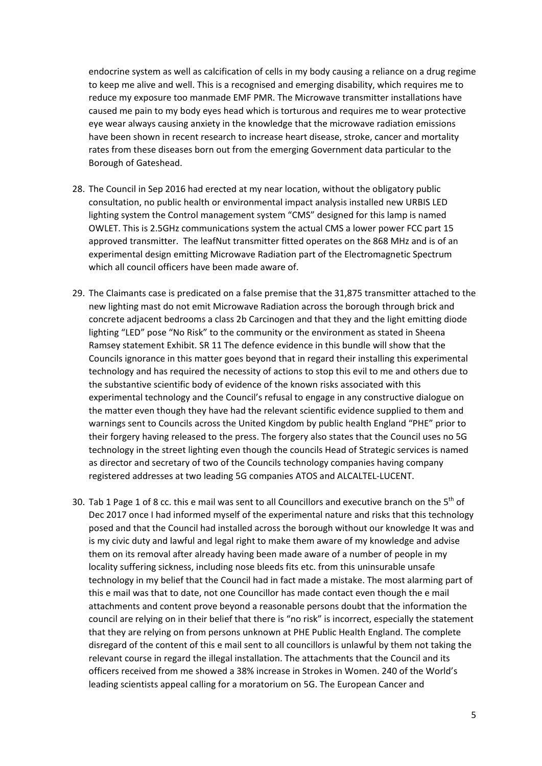endocrine system as well as calcification of cells in my body causing a reliance on a drug regime to keep me alive and well. This is a recognised and emerging disability, which requires me to reduce my exposure too manmade EMF PMR. The Microwave transmitter installations have caused me pain to my body eyes head which is torturous and requires me to wear protective eye wear always causing anxiety in the knowledge that the microwave radiation emissions have been shown in recent research to increase heart disease, stroke, cancer and mortality rates from these diseases born out from the emerging Government data particular to the Borough of Gateshead.

- 28. The Council in Sep 2016 had erected at my near location, without the obligatory public consultation, no public health or environmental impact analysis installed new URBIS LED lighting system the Control management system "CMS" designed for this lamp is named OWLET. This is 2.5GHz communications system the actual CMS a lower power FCC part 15 approved transmitter. The leafNut transmitter fitted operates on the 868 MHz and is of an experimental design emitting Microwave Radiation part of the Electromagnetic Spectrum which all council officers have been made aware of.
- 29. The Claimants case is predicated on a false premise that the 31,875 transmitter attached to the new lighting mast do not emit Microwave Radiation across the borough through brick and concrete adjacent bedrooms a class 2b Carcinogen and that they and the light emitting diode lighting "LED" pose "No Risk" to the community or the environment as stated in Sheena Ramsey statement Exhibit. SR 11 The defence evidence in this bundle will show that the Councils ignorance in this matter goes beyond that in regard their installing this experimental technology and has required the necessity of actions to stop this evil to me and others due to the substantive scientific body of evidence of the known risks associated with this experimental technology and the Council's refusal to engage in any constructive dialogue on the matter even though they have had the relevant scientific evidence supplied to them and warnings sent to Councils across the United Kingdom by public health England "PHE" prior to their forgery having released to the press. The forgery also states that the Council uses no 5G technology in the street lighting even though the councils Head of Strategic services is named as director and secretary of two of the Councils technology companies having company registered addresses at two leading 5G companies ATOS and ALCALTEL-LUCENT.
- 30. Tab 1 Page 1 of 8 cc. this e mail was sent to all Councillors and executive branch on the 5<sup>th</sup> of Dec 2017 once I had informed myself of the experimental nature and risks that this technology posed and that the Council had installed across the borough without our knowledge It was and is my civic duty and lawful and legal right to make them aware of my knowledge and advise them on its removal after already having been made aware of a number of people in my locality suffering sickness, including nose bleeds fits etc. from this uninsurable unsafe technology in my belief that the Council had in fact made a mistake. The most alarming part of this e mail was that to date, not one Councillor has made contact even though the e mail attachments and content prove beyond a reasonable persons doubt that the information the council are relying on in their belief that there is "no risk" is incorrect, especially the statement that they are relying on from persons unknown at PHE Public Health England. The complete disregard of the content of this e mail sent to all councillors is unlawful by them not taking the relevant course in regard the illegal installation. The attachments that the Council and its officers received from me showed a 38% increase in Strokes in Women. 240 of the World's leading scientists appeal calling for a moratorium on 5G. The European Cancer and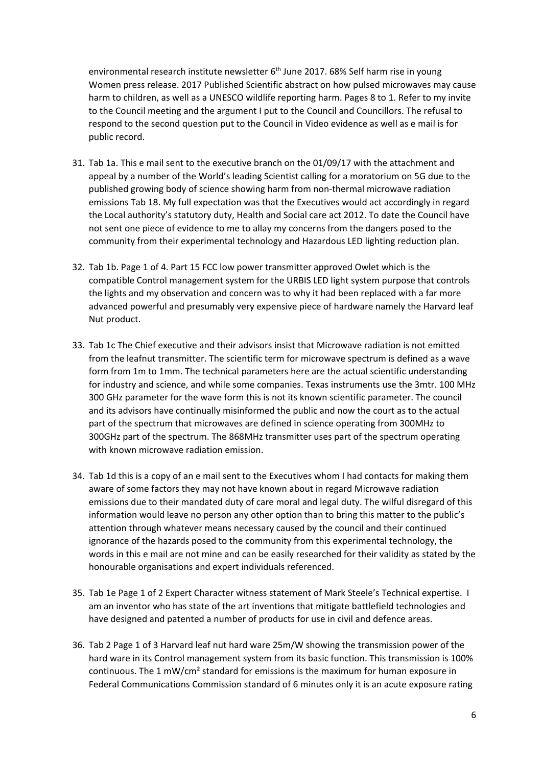environmental research institute newsletter  $6<sup>th</sup>$  June 2017. 68% Self harm rise in young Women press release. 2017 Published Scientific abstract on how pulsed microwaves may cause harm to children, as well as a UNESCO wildlife reporting harm. Pages 8 to 1. Refer to my invite to the Council meeting and the argument I put to the Council and Councillors. The refusal to respond to the second question put to the Council in Video evidence as well as e mail is for public record.

- 31. Tab 1a. This e mail sent to the executive branch on the 01/09/17 with the attachment and appeal by a number of the World's leading Scientist calling for a moratorium on 5G due to the published growing body of science showing harm from non-thermal microwave radiation emissions Tab 18. My full expectation was that the Executives would act accordingly in regard the Local authority's statutory duty, Health and Social care act 2012. To date the Council have not sent one piece of evidence to me to allay my concerns from the dangers posed to the community from their experimental technology and Hazardous LED lighting reduction plan.
- 32. Tab 1b. Page 1 of 4. Part 15 FCC low power transmitter approved Owlet which is the compatible Control management system for the URBIS LED light system purpose that controls the lights and my observation and concern was to why it had been replaced with a far more advanced powerful and presumably very expensive piece of hardware namely the Harvard leaf Nut product.
- 33. Tab 1c The Chief executive and their advisors insist that Microwave radiation is not emitted from the leafnut transmitter. The scientific term for microwave spectrum is defined as a wave form from 1m to 1mm. The technical parameters here are the actual scientific understanding for industry and science, and while some companies. Texas instruments use the 3mtr. 100 MHz 300 GHz parameter for the wave form this is not its known scientific parameter. The council and its advisors have continually misinformed the public and now the court as to the actual part of the spectrum that microwaves are defined in science operating from 300MHz to 300GHz part of the spectrum. The 868MHz transmitter uses part of the spectrum operating with known microwave radiation emission.
- 34. Tab 1d this is a copy of an e mail sent to the Executives whom I had contacts for making them aware of some factors they may not have known about in regard Microwave radiation emissions due to their mandated duty of care moral and legal duty. The wilful disregard of this information would leave no person any other option than to bring this matter to the public's attention through whatever means necessary caused by the council and their continued ignorance of the hazards posed to the community from this experimental technology, the words in this e mail are not mine and can be easily researched for their validity as stated by the honourable organisations and expert individuals referenced.
- 35. Tab 1e Page 1 of 2 Expert Character witness statement of Mark Steele's Technical expertise. I am an inventor who has state of the art inventions that mitigate battlefield technologies and have designed and patented a number of products for use in civil and defence areas.
- 36. Tab 2 Page 1 of 3 Harvard leaf nut hard ware 25m/W showing the transmission power of the hard ware in its Control management system from its basic function. This transmission is 100% continuous. The 1 mW/cm² standard for emissions is the maximum for human exposure in Federal Communications Commission standard of 6 minutes only it is an acute exposure rating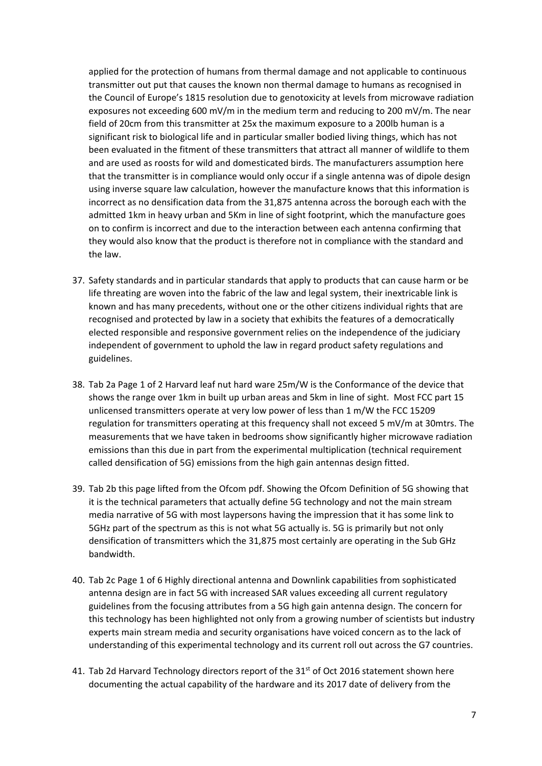applied for the protection of humans from thermal damage and not applicable to continuous transmitter out put that causes the known non thermal damage to humans as recognised in the Council of Europe's 1815 resolution due to genotoxicity at levels from microwave radiation exposures not exceeding 600 mV/m in the medium term and reducing to 200 mV/m. The near field of 20cm from this transmitter at 25x the maximum exposure to a 200lb human is a significant risk to biological life and in particular smaller bodied living things, which has not been evaluated in the fitment of these transmitters that attract all manner of wildlife to them and are used as roosts for wild and domesticated birds. The manufacturers assumption here that the transmitter is in compliance would only occur if a single antenna was of dipole design using inverse square law calculation, however the manufacture knows that this information is incorrect as no densification data from the 31,875 antenna across the borough each with the admitted 1km in heavy urban and 5Km in line of sight footprint, which the manufacture goes on to confirm is incorrect and due to the interaction between each antenna confirming that they would also know that the product is therefore not in compliance with the standard and the law.

- 37. Safety standards and in particular standards that apply to products that can cause harm or be life threating are woven into the fabric of the law and legal system, their inextricable link is known and has many precedents, without one or the other citizens individual rights that are recognised and protected by law in a society that exhibits the features of a democratically elected responsible and responsive government relies on the independence of the judiciary independent of government to uphold the law in regard product safety regulations and guidelines.
- 38. Tab 2a Page 1 of 2 Harvard leaf nut hard ware 25m/W is the Conformance of the device that shows the range over 1km in built up urban areas and 5km in line of sight. Most FCC part 15 unlicensed transmitters operate at very low power of less than 1 m/W the FCC 15209 regulation for transmitters operating at this frequency shall not exceed 5 mV/m at 30mtrs. The measurements that we have taken in bedrooms show significantly higher microwave radiation emissions than this due in part from the experimental multiplication (technical requirement called densification of 5G) emissions from the high gain antennas design fitted.
- 39. Tab 2b this page lifted from the Ofcom pdf. Showing the Ofcom Definition of 5G showing that it is the technical parameters that actually define 5G technology and not the main stream media narrative of 5G with most laypersons having the impression that it has some link to 5GHz part of the spectrum as this is not what 5G actually is. 5G is primarily but not only densification of transmitters which the 31,875 most certainly are operating in the Sub GHz bandwidth.
- 40. Tab 2c Page 1 of 6 Highly directional antenna and Downlink capabilities from sophisticated antenna design are in fact 5G with increased SAR values exceeding all current regulatory guidelines from the focusing attributes from a 5G high gain antenna design. The concern for this technology has been highlighted not only from a growing number of scientists but industry experts main stream media and security organisations have voiced concern as to the lack of understanding of this experimental technology and its current roll out across the G7 countries.
- 41. Tab 2d Harvard Technology directors report of the 31<sup>st</sup> of Oct 2016 statement shown here documenting the actual capability of the hardware and its 2017 date of delivery from the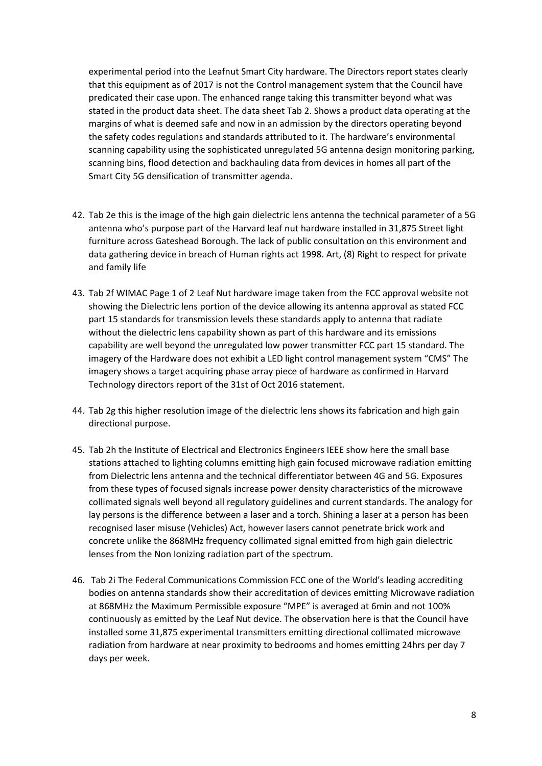experimental period into the Leafnut Smart City hardware. The Directors report states clearly that this equipment as of 2017 is not the Control management system that the Council have predicated their case upon. The enhanced range taking this transmitter beyond what was stated in the product data sheet. The data sheet Tab 2. Shows a product data operating at the margins of what is deemed safe and now in an admission by the directors operating beyond the safety codes regulations and standards attributed to it. The hardware's environmental scanning capability using the sophisticated unregulated 5G antenna design monitoring parking, scanning bins, flood detection and backhauling data from devices in homes all part of the Smart City 5G densification of transmitter agenda.

- 42. Tab 2e this is the image of the high gain dielectric lens antenna the technical parameter of a 5G antenna who's purpose part of the Harvard leaf nut hardware installed in 31,875 Street light furniture across Gateshead Borough. The lack of public consultation on this environment and data gathering device in breach of Human rights act 1998. Art, (8) Right to respect for private and family life
- 43. Tab 2f WIMAC Page 1 of 2 Leaf Nut hardware image taken from the FCC approval website not showing the Dielectric lens portion of the device allowing its antenna approval as stated FCC part 15 standards for transmission levels these standards apply to antenna that radiate without the dielectric lens capability shown as part of this hardware and its emissions capability are well beyond the unregulated low power transmitter FCC part 15 standard. The imagery of the Hardware does not exhibit a LED light control management system "CMS" The imagery shows a target acquiring phase array piece of hardware as confirmed in Harvard Technology directors report of the 31st of Oct 2016 statement.
- 44. Tab 2g this higher resolution image of the dielectric lens shows its fabrication and high gain directional purpose.
- 45. Tab 2h the Institute of Electrical and Electronics Engineers IEEE show here the small base stations attached to lighting columns emitting high gain focused microwave radiation emitting from Dielectric lens antenna and the technical differentiator between 4G and 5G. Exposures from these types of focused signals increase power density characteristics of the microwave collimated signals well beyond all regulatory guidelines and current standards. The analogy for lay persons is the difference between a laser and a torch. Shining a laser at a person has been recognised laser misuse (Vehicles) Act, however lasers cannot penetrate brick work and concrete unlike the 868MHz frequency collimated signal emitted from high gain dielectric lenses from the Non Ionizing radiation part of the spectrum.
- 46. Tab 2i The Federal Communications Commission FCC one of the World's leading accrediting bodies on antenna standards show their accreditation of devices emitting Microwave radiation at 868MHz the Maximum Permissible exposure "MPE" is averaged at 6min and not 100% continuously as emitted by the Leaf Nut device. The observation here is that the Council have installed some 31,875 experimental transmitters emitting directional collimated microwave radiation from hardware at near proximity to bedrooms and homes emitting 24hrs per day 7 days per week.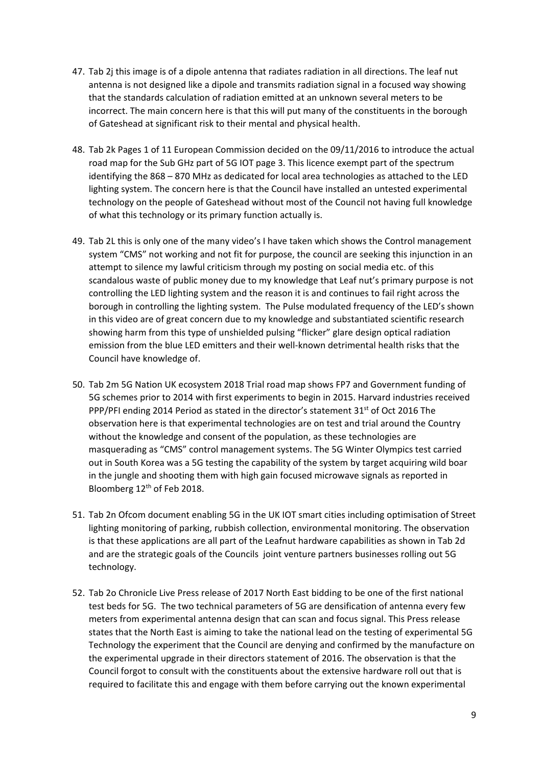- 47. Tab 2j this image is of a dipole antenna that radiates radiation in all directions. The leaf nut antenna is not designed like a dipole and transmits radiation signal in a focused way showing that the standards calculation of radiation emitted at an unknown several meters to be incorrect. The main concern here is that this will put many of the constituents in the borough of Gateshead at significant risk to their mental and physical health.
- 48. Tab 2k Pages 1 of 11 European Commission decided on the 09/11/2016 to introduce the actual road map for the Sub GHz part of 5G IOT page 3. This licence exempt part of the spectrum identifying the 868 – 870 MHz as dedicated for local area technologies as attached to the LED lighting system. The concern here is that the Council have installed an untested experimental technology on the people of Gateshead without most of the Council not having full knowledge of what this technology or its primary function actually is.
- 49. Tab 2L this is only one of the many video's I have taken which shows the Control management system "CMS" not working and not fit for purpose, the council are seeking this injunction in an attempt to silence my lawful criticism through my posting on social media etc. of this scandalous waste of public money due to my knowledge that Leaf nut's primary purpose is not controlling the LED lighting system and the reason it is and continues to fail right across the borough in controlling the lighting system. The Pulse modulated frequency of the LED's shown in this video are of great concern due to my knowledge and substantiated scientific research showing harm from this type of unshielded pulsing "flicker" glare design optical radiation emission from the blue LED emitters and their well-known detrimental health risks that the Council have knowledge of.
- 50. Tab 2m 5G Nation UK ecosystem 2018 Trial road map shows FP7 and Government funding of 5G schemes prior to 2014 with first experiments to begin in 2015. Harvard industries received PPP/PFI ending 2014 Period as stated in the director's statement  $31<sup>st</sup>$  of Oct 2016 The observation here is that experimental technologies are on test and trial around the Country without the knowledge and consent of the population, as these technologies are masquerading as "CMS" control management systems. The 5G Winter Olympics test carried out in South Korea was a 5G testing the capability of the system by target acquiring wild boar in the jungle and shooting them with high gain focused microwave signals as reported in Bloomberg 12<sup>th</sup> of Feb 2018.
- 51. Tab 2n Ofcom document enabling 5G in the UK IOT smart cities including optimisation of Street lighting monitoring of parking, rubbish collection, environmental monitoring. The observation is that these applications are all part of the Leafnut hardware capabilities as shown in Tab 2d and are the strategic goals of the Councils joint venture partners businesses rolling out 5G technology.
- 52. Tab 2o Chronicle Live Press release of 2017 North East bidding to be one of the first national test beds for 5G. The two technical parameters of 5G are densification of antenna every few meters from experimental antenna design that can scan and focus signal. This Press release states that the North East is aiming to take the national lead on the testing of experimental 5G Technology the experiment that the Council are denying and confirmed by the manufacture on the experimental upgrade in their directors statement of 2016. The observation is that the Council forgot to consult with the constituents about the extensive hardware roll out that is required to facilitate this and engage with them before carrying out the known experimental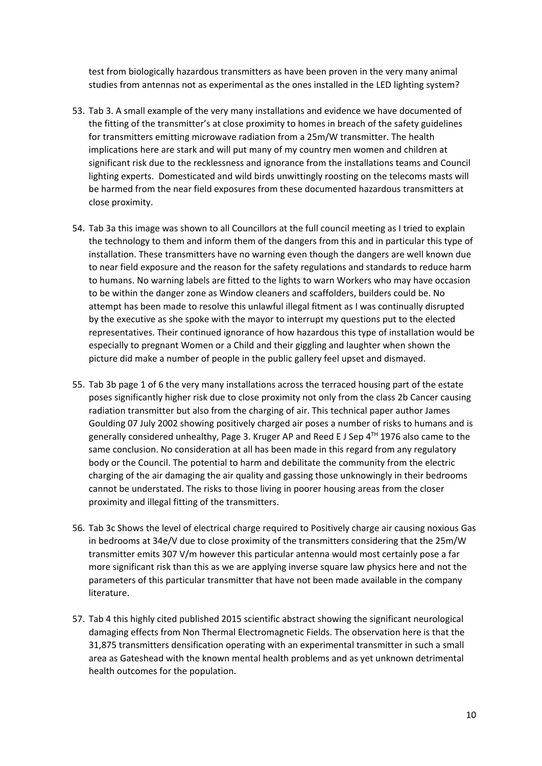test from biologically hazardous transmitters as have been proven in the very many animal studies from antennas not as experimental as the ones installed in the LED lighting system?

- 53. Tab 3. A small example of the very many installations and evidence we have documented of the fitting of the transmitter's at close proximity to homes in breach of the safety guidelines for transmitters emitting microwave radiation from a 25m/W transmitter. The health implications here are stark and will put many of my country men women and children at significant risk due to the recklessness and ignorance from the installations teams and Council lighting experts. Domesticated and wild birds unwittingly roosting on the telecoms masts will be harmed from the near field exposures from these documented hazardous transmitters at close proximity.
- 54. Tab 3a this image was shown to all Councillors at the full council meeting as I tried to explain the technology to them and inform them of the dangers from this and in particular this type of installation. These transmitters have no warning even though the dangers are well known due to near field exposure and the reason for the safety regulations and standards to reduce harm to humans. No warning labels are fitted to the lights to warn Workers who may have occasion to be within the danger zone as Window cleaners and scaffolders, builders could be. No attempt has been made to resolve this unlawful illegal fitment as I was continually disrupted by the executive as she spoke with the mayor to interrupt my questions put to the elected representatives. Their continued ignorance of how hazardous this type of installation would be especially to pregnant Women or a Child and their giggling and laughter when shown the picture did make a number of people in the public gallery feel upset and dismayed.
- 55. Tab 3b page 1 of 6 the very many installations across the terraced housing part of the estate poses significantly higher risk due to close proximity not only from the class 2b Cancer causing radiation transmitter but also from the charging of air. This technical paper author James Goulding 07 July 2002 showing positively charged air poses a number of risks to humans and is generally considered unhealthy, Page 3. Kruger AP and Reed E J Sep 4<sup>TH</sup> 1976 also came to the same conclusion. No consideration at all has been made in this regard from any regulatory body or the Council. The potential to harm and debilitate the community from the electric charging of the air damaging the air quality and gassing those unknowingly in their bedrooms cannot be understated. The risks to those living in poorer housing areas from the closer proximity and illegal fitting of the transmitters.
- 56. Tab 3c Shows the level of electrical charge required to Positively charge air causing noxious Gas in bedrooms at 34e/V due to close proximity of the transmitters considering that the 25m/W transmitter emits 307 V/m however this particular antenna would most certainly pose a far more significant risk than this as we are applying inverse square law physics here and not the parameters of this particular transmitter that have not been made available in the company literature.
- 57. Tab 4 this highly cited published 2015 scientific abstract showing the significant neurological damaging effects from Non Thermal Electromagnetic Fields. The observation here is that the 31,875 transmitters densification operating with an experimental transmitter in such a small area as Gateshead with the known mental health problems and as yet unknown detrimental health outcomes for the population.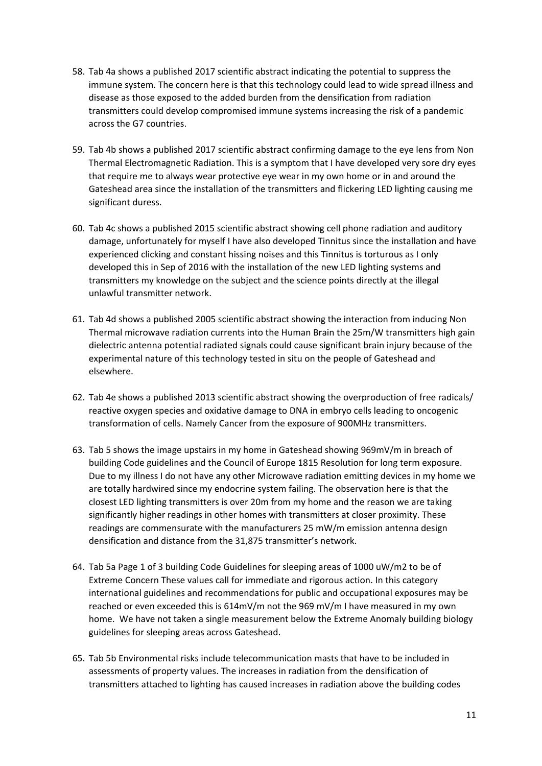- 58. Tab 4a shows a published 2017 scientific abstract indicating the potential to suppress the immune system. The concern here is that this technology could lead to wide spread illness and disease as those exposed to the added burden from the densification from radiation transmitters could develop compromised immune systems increasing the risk of a pandemic across the G7 countries.
- 59. Tab 4b shows a published 2017 scientific abstract confirming damage to the eye lens from Non Thermal Electromagnetic Radiation. This is a symptom that I have developed very sore dry eyes that require me to always wear protective eye wear in my own home or in and around the Gateshead area since the installation of the transmitters and flickering LED lighting causing me significant duress.
- 60. Tab 4c shows a published 2015 scientific abstract showing cell phone radiation and auditory damage, unfortunately for myself I have also developed Tinnitus since the installation and have experienced clicking and constant hissing noises and this Tinnitus is torturous as I only developed this in Sep of 2016 with the installation of the new LED lighting systems and transmitters my knowledge on the subject and the science points directly at the illegal unlawful transmitter network.
- 61. Tab 4d shows a published 2005 scientific abstract showing the interaction from inducing Non Thermal microwave radiation currents into the Human Brain the 25m/W transmitters high gain dielectric antenna potential radiated signals could cause significant brain injury because of the experimental nature of this technology tested in situ on the people of Gateshead and elsewhere.
- 62. Tab 4e shows a published 2013 scientific abstract showing the overproduction of free radicals/ reactive oxygen species and oxidative damage to DNA in embryo cells leading to oncogenic transformation of cells. Namely Cancer from the exposure of 900MHz transmitters.
- 63. Tab 5 shows the image upstairs in my home in Gateshead showing 969mV/m in breach of building Code guidelines and the Council of Europe 1815 Resolution for long term exposure. Due to my illness I do not have any other Microwave radiation emitting devices in my home we are totally hardwired since my endocrine system failing. The observation here is that the closest LED lighting transmitters is over 20m from my home and the reason we are taking significantly higher readings in other homes with transmitters at closer proximity. These readings are commensurate with the manufacturers 25 mW/m emission antenna design densification and distance from the 31,875 transmitter's network.
- 64. Tab 5a Page 1 of 3 building Code Guidelines for sleeping areas of 1000 uW/m2 to be of Extreme Concern These values call for immediate and rigorous action. In this category international guidelines and recommendations for public and occupational exposures may be reached or even exceeded this is 614mV/m not the 969 mV/m I have measured in my own home. We have not taken a single measurement below the Extreme Anomaly building biology guidelines for sleeping areas across Gateshead.
- 65. Tab 5b Environmental risks include telecommunication masts that have to be included in assessments of property values. The increases in radiation from the densification of transmitters attached to lighting has caused increases in radiation above the building codes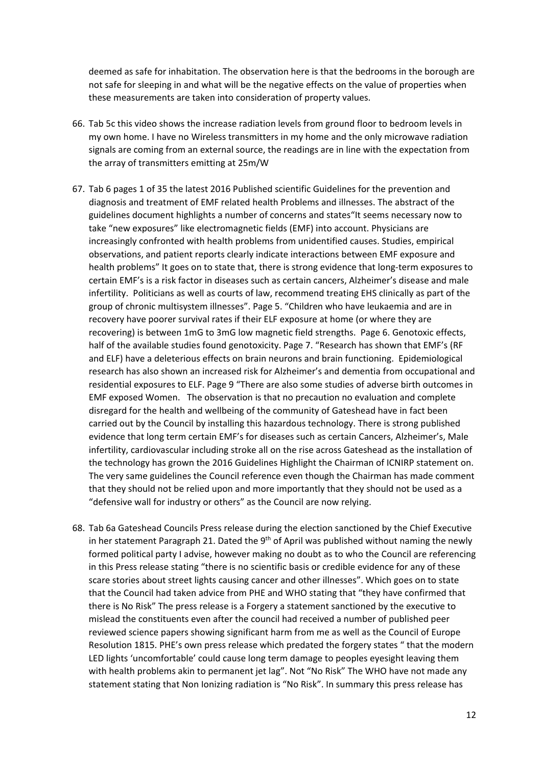deemed as safe for inhabitation. The observation here is that the bedrooms in the borough are not safe for sleeping in and what will be the negative effects on the value of properties when these measurements are taken into consideration of property values.

- 66. Tab 5c this video shows the increase radiation levels from ground floor to bedroom levels in my own home. I have no Wireless transmitters in my home and the only microwave radiation signals are coming from an external source, the readings are in line with the expectation from the array of transmitters emitting at 25m/W
- 67. Tab 6 pages 1 of 35 the latest 2016 Published scientific Guidelines for the prevention and diagnosis and treatment of EMF related health Problems and illnesses. The abstract of the guidelines document highlights a number of concerns and states"It seems necessary now to take "new exposures" like electromagnetic fields (EMF) into account. Physicians are increasingly confronted with health problems from unidentified causes. Studies, empirical observations, and patient reports clearly indicate interactions between EMF exposure and health problems" It goes on to state that, there is strong evidence that long-term exposures to certain EMF's is a risk factor in diseases such as certain cancers, Alzheimer's disease and male infertility. Politicians as well as courts of law, recommend treating EHS clinically as part of the group of chronic multisystem illnesses". Page 5. "Children who have leukaemia and are in recovery have poorer survival rates if their ELF exposure at home (or where they are recovering) is between 1mG to 3mG low magnetic field strengths. Page 6. Genotoxic effects, half of the available studies found genotoxicity. Page 7. "Research has shown that EMF's (RF and ELF) have a deleterious effects on brain neurons and brain functioning. Epidemiological research has also shown an increased risk for Alzheimer's and dementia from occupational and residential exposures to ELF. Page 9 "There are also some studies of adverse birth outcomes in EMF exposed Women. The observation is that no precaution no evaluation and complete disregard for the health and wellbeing of the community of Gateshead have in fact been carried out by the Council by installing this hazardous technology. There is strong published evidence that long term certain EMF's for diseases such as certain Cancers, Alzheimer's, Male infertility, cardiovascular including stroke all on the rise across Gateshead as the installation of the technology has grown the 2016 Guidelines Highlight the Chairman of ICNIRP statement on. The very same guidelines the Council reference even though the Chairman has made comment that they should not be relied upon and more importantly that they should not be used as a "defensive wall for industry or others" as the Council are now relying.
- 68. Tab 6a Gateshead Councils Press release during the election sanctioned by the Chief Executive in her statement Paragraph 21. Dated the  $9<sup>th</sup>$  of April was published without naming the newly formed political party I advise, however making no doubt as to who the Council are referencing in this Press release stating "there is no scientific basis or credible evidence for any of these scare stories about street lights causing cancer and other illnesses". Which goes on to state that the Council had taken advice from PHE and WHO stating that "they have confirmed that there is No Risk" The press release is a Forgery a statement sanctioned by the executive to mislead the constituents even after the council had received a number of published peer reviewed science papers showing significant harm from me as well as the Council of Europe Resolution 1815. PHE's own press release which predated the forgery states " that the modern LED lights 'uncomfortable' could cause long term damage to peoples eyesight leaving them with health problems akin to permanent jet lag". Not "No Risk" The WHO have not made any statement stating that Non Ionizing radiation is "No Risk". In summary this press release has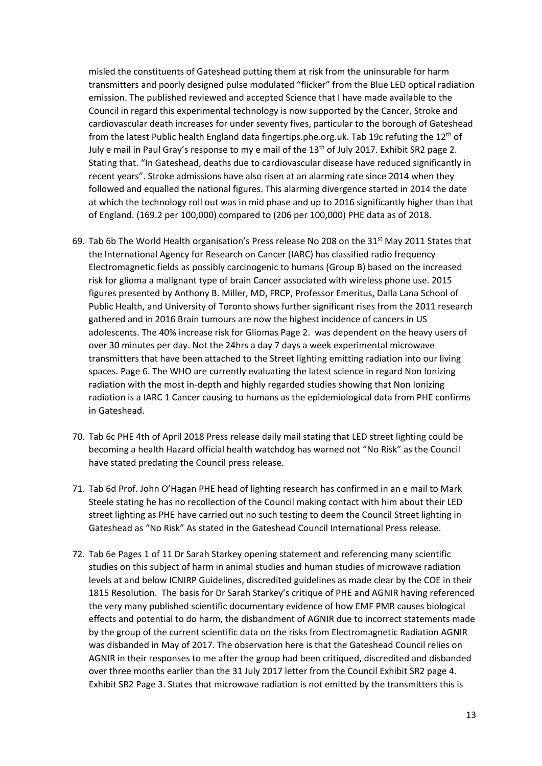misled the constituents of Gateshead putting them at risk from the uninsurable for harm transmitters and poorly designed pulse modulated "flicker" from the Blue LED optical radiation emission. The published reviewed and accepted Science that I have made available to the Council in regard this experimental technology is now supported by the Cancer, Stroke and cardiovascular death increases for under seventy fives, particular to the borough of Gateshead from the latest Public health England data fingertips.phe.org.uk. Tab 19c refuting the  $12<sup>th</sup>$  of July e mail in Paul Gray's response to my e mail of the 13<sup>th</sup> of July 2017. Exhibit SR2 page 2. Stating that. "In Gateshead, deaths due to cardiovascular disease have reduced significantly in recent years". Stroke admissions have also risen at an alarming rate since 2014 when they followed and equalled the national figures. This alarming divergence started in 2014 the date at which the technology roll out was in mid phase and up to 2016 significantly higher than that of England. (169.2 per 100,000) compared to (206 per 100,000) PHE data as of 2018.

- 69. Tab 6b The World Health organisation's Press release No 208 on the  $31<sup>st</sup>$  May 2011 States that the International Agency for Research on Cancer (IARC) has classified radio frequency Electromagnetic fields as possibly carcinogenic to humans (Group B) based on the increased risk for glioma a malignant type of brain Cancer associated with wireless phone use. 2015 figures presented by Anthony B. Miller, MD, FRCP, Professor Emeritus, Dalla Lana School of Public Health, and University of Toronto shows further significant rises from the 2011 research gathered and in 2016 Brain tumours are now the highest incidence of cancers in US adolescents. The 40% increase risk for Gliomas Page 2. was dependent on the heavy users of over 30 minutes per day. Not the 24hrs a day 7 days a week experimental microwave transmitters that have been attached to the Street lighting emitting radiation into our living spaces. Page 6. The WHO are currently evaluating the latest science in regard Non Ionizing radiation with the most in-depth and highly regarded studies showing that Non Ionizing radiation is a IARC 1 Cancer causing to humans as the epidemiological data from PHE confirms in Gateshead.
- 70. Tab 6c PHE 4th of April 2018 Press release daily mail stating that LED street lighting could be becoming a health Hazard official health watchdog has warned not "No Risk" as the Council have stated predating the Council press release.
- 71. Tab 6d Prof. John O'Hagan PHE head of lighting research has confirmed in an e mail to Mark Steele stating he has no recollection of the Council making contact with him about their LED street lighting as PHE have carried out no such testing to deem the Council Street lighting in Gateshead as "No Risk" As stated in the Gateshead Council International Press release.
- 72. Tab 6e Pages 1 of 11 Dr Sarah Starkey opening statement and referencing many scientific studies on this subject of harm in animal studies and human studies of microwave radiation levels at and below ICNIRP Guidelines, discredited guidelines as made clear by the COE in their 1815 Resolution. The basis for Dr Sarah Starkey's critique of PHE and AGNIR having referenced the very many published scientific documentary evidence of how EMF PMR causes biological effects and potential to do harm, the disbandment of AGNIR due to incorrect statements made by the group of the current scientific data on the risks from Electromagnetic Radiation AGNIR was disbanded in May of 2017. The observation here is that the Gateshead Council relies on AGNIR in their responses to me after the group had been critiqued, discredited and disbanded over three months earlier than the 31 July 2017 letter from the Council Exhibit SR2 page 4. Exhibit SR2 Page 3. States that microwave radiation is not emitted by the transmitters this is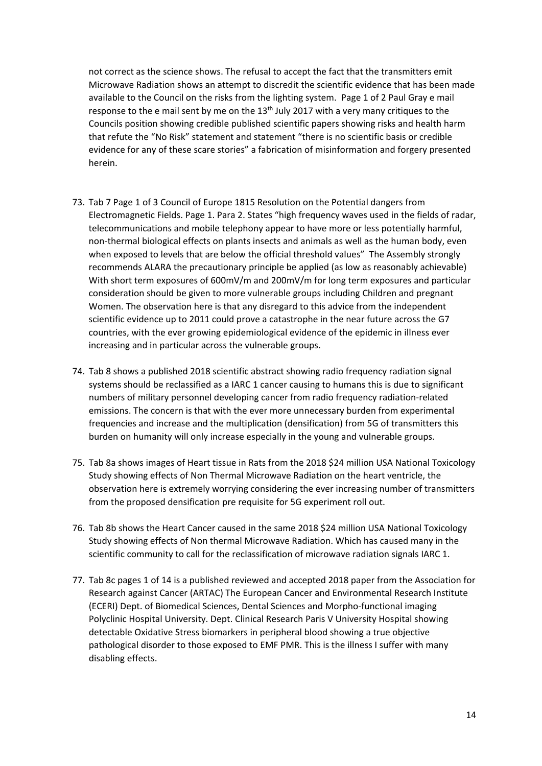not correct as the science shows. The refusal to accept the fact that the transmitters emit Microwave Radiation shows an attempt to discredit the scientific evidence that has been made available to the Council on the risks from the lighting system. Page 1 of 2 Paul Gray e mail response to the e mail sent by me on the  $13<sup>th</sup>$  July 2017 with a very many critiques to the Councils position showing credible published scientific papers showing risks and health harm that refute the "No Risk" statement and statement "there is no scientific basis or credible evidence for any of these scare stories" a fabrication of misinformation and forgery presented herein.

- 73. Tab 7 Page 1 of 3 Council of Europe 1815 Resolution on the Potential dangers from Electromagnetic Fields. Page 1. Para 2. States "high frequency waves used in the fields of radar, telecommunications and mobile telephony appear to have more or less potentially harmful, non-thermal biological effects on plants insects and animals as well as the human body, even when exposed to levels that are below the official threshold values" The Assembly strongly recommends ALARA the precautionary principle be applied (as low as reasonably achievable) With short term exposures of 600mV/m and 200mV/m for long term exposures and particular consideration should be given to more vulnerable groups including Children and pregnant Women. The observation here is that any disregard to this advice from the independent scientific evidence up to 2011 could prove a catastrophe in the near future across the G7 countries, with the ever growing epidemiological evidence of the epidemic in illness ever increasing and in particular across the vulnerable groups.
- 74. Tab 8 shows a published 2018 scientific abstract showing radio frequency radiation signal systems should be reclassified as a IARC 1 cancer causing to humans this is due to significant numbers of military personnel developing cancer from radio frequency radiation-related emissions. The concern is that with the ever more unnecessary burden from experimental frequencies and increase and the multiplication (densification) from 5G of transmitters this burden on humanity will only increase especially in the young and vulnerable groups.
- 75. Tab 8a shows images of Heart tissue in Rats from the 2018 \$24 million USA National Toxicology Study showing effects of Non Thermal Microwave Radiation on the heart ventricle, the observation here is extremely worrying considering the ever increasing number of transmitters from the proposed densification pre requisite for 5G experiment roll out.
- 76. Tab 8b shows the Heart Cancer caused in the same 2018 \$24 million USA National Toxicology Study showing effects of Non thermal Microwave Radiation. Which has caused many in the scientific community to call for the reclassification of microwave radiation signals IARC 1.
- 77. Tab 8c pages 1 of 14 is a published reviewed and accepted 2018 paper from the Association for Research against Cancer (ARTAC) The European Cancer and Environmental Research Institute (ECERI) Dept. of Biomedical Sciences, Dental Sciences and Morpho-functional imaging Polyclinic Hospital University. Dept. Clinical Research Paris V University Hospital showing detectable Oxidative Stress biomarkers in peripheral blood showing a true objective pathological disorder to those exposed to EMF PMR. This is the illness I suffer with many disabling effects.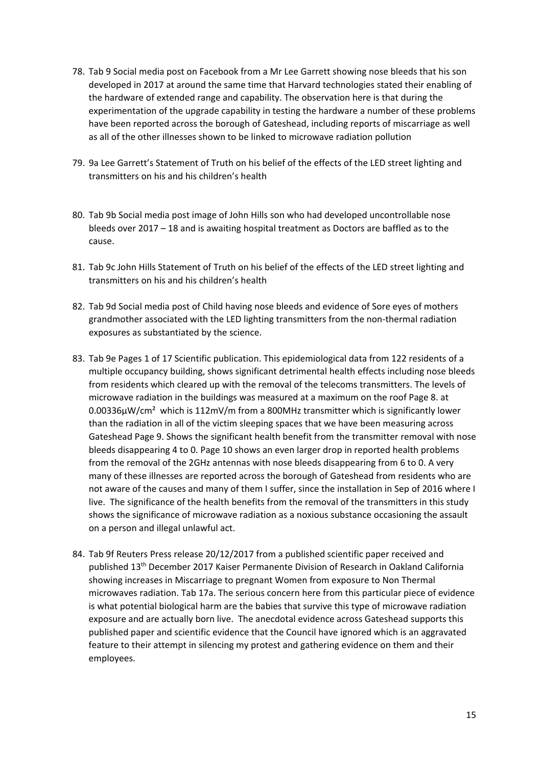- 78. Tab 9 Social media post on Facebook from a Mr Lee Garrett showing nose bleeds that his son developed in 2017 at around the same time that Harvard technologies stated their enabling of the hardware of extended range and capability. The observation here is that during the experimentation of the upgrade capability in testing the hardware a number of these problems have been reported across the borough of Gateshead, including reports of miscarriage as well as all of the other illnesses shown to be linked to microwave radiation pollution
- 79. 9a Lee Garrett's Statement of Truth on his belief of the effects of the LED street lighting and transmitters on his and his children's health
- 80. Tab 9b Social media post image of John Hills son who had developed uncontrollable nose bleeds over 2017 – 18 and is awaiting hospital treatment as Doctors are baffled as to the cause.
- 81. Tab 9c John Hills Statement of Truth on his belief of the effects of the LED street lighting and transmitters on his and his children's health
- 82. Tab 9d Social media post of Child having nose bleeds and evidence of Sore eyes of mothers grandmother associated with the LED lighting transmitters from the non-thermal radiation exposures as substantiated by the science.
- 83. Tab 9e Pages 1 of 17 Scientific publication. This epidemiological data from 122 residents of a multiple occupancy building, shows significant detrimental health effects including nose bleeds from residents which cleared up with the removal of the telecoms transmitters. The levels of microwave radiation in the buildings was measured at a maximum on the roof Page 8. at 0.00336µW/cm² which is 112mV/m from a 800MHz transmitter which is significantly lower than the radiation in all of the victim sleeping spaces that we have been measuring across Gateshead Page 9. Shows the significant health benefit from the transmitter removal with nose bleeds disappearing 4 to 0. Page 10 shows an even larger drop in reported health problems from the removal of the 2GHz antennas with nose bleeds disappearing from 6 to 0. A very many of these illnesses are reported across the borough of Gateshead from residents who are not aware of the causes and many of them I suffer, since the installation in Sep of 2016 where I live. The significance of the health benefits from the removal of the transmitters in this study shows the significance of microwave radiation as a noxious substance occasioning the assault on a person and illegal unlawful act.
- 84. Tab 9f Reuters Press release 20/12/2017 from a published scientific paper received and published 13th December 2017 Kaiser Permanente Division of Research in Oakland California showing increases in Miscarriage to pregnant Women from exposure to Non Thermal microwaves radiation. Tab 17a. The serious concern here from this particular piece of evidence is what potential biological harm are the babies that survive this type of microwave radiation exposure and are actually born live. The anecdotal evidence across Gateshead supports this published paper and scientific evidence that the Council have ignored which is an aggravated feature to their attempt in silencing my protest and gathering evidence on them and their employees.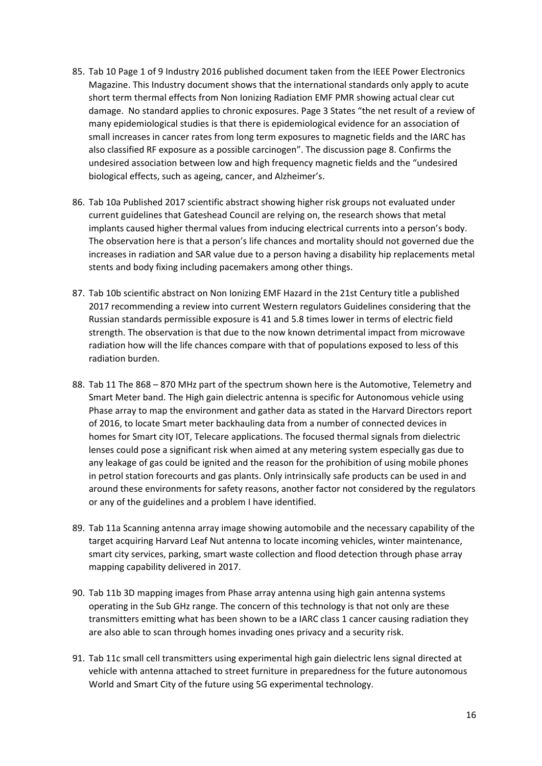- 85. Tab 10 Page 1 of 9 Industry 2016 published document taken from the IEEE Power Electronics Magazine. This Industry document shows that the international standards only apply to acute short term thermal effects from Non Ionizing Radiation EMF PMR showing actual clear cut damage. No standard applies to chronic exposures. Page 3 States "the net result of a review of many epidemiological studies is that there is epidemiological evidence for an association of small increases in cancer rates from long term exposures to magnetic fields and the IARC has also classified RF exposure as a possible carcinogen". The discussion page 8. Confirms the undesired association between low and high frequency magnetic fields and the "undesired biological effects, such as ageing, cancer, and Alzheimer's.
- 86. Tab 10a Published 2017 scientific abstract showing higher risk groups not evaluated under current guidelines that Gateshead Council are relying on, the research shows that metal implants caused higher thermal values from inducing electrical currents into a person's body. The observation here is that a person's life chances and mortality should not governed due the increases in radiation and SAR value due to a person having a disability hip replacements metal stents and body fixing including pacemakers among other things.
- 87. Tab 10b scientific abstract on Non Ionizing EMF Hazard in the 21st Century title a published 2017 recommending a review into current Western regulators Guidelines considering that the Russian standards permissible exposure is 41 and 5.8 times lower in terms of electric field strength. The observation is that due to the now known detrimental impact from microwave radiation how will the life chances compare with that of populations exposed to less of this radiation burden.
- 88. Tab 11 The 868 870 MHz part of the spectrum shown here is the Automotive, Telemetry and Smart Meter band. The High gain dielectric antenna is specific for Autonomous vehicle using Phase array to map the environment and gather data as stated in the Harvard Directors report of 2016, to locate Smart meter backhauling data from a number of connected devices in homes for Smart city IOT, Telecare applications. The focused thermal signals from dielectric lenses could pose a significant risk when aimed at any metering system especially gas due to any leakage of gas could be ignited and the reason for the prohibition of using mobile phones in petrol station forecourts and gas plants. Only intrinsically safe products can be used in and around these environments for safety reasons, another factor not considered by the regulators or any of the guidelines and a problem I have identified.
- 89. Tab 11a Scanning antenna array image showing automobile and the necessary capability of the target acquiring Harvard Leaf Nut antenna to locate incoming vehicles, winter maintenance, smart city services, parking, smart waste collection and flood detection through phase array mapping capability delivered in 2017.
- 90. Tab 11b 3D mapping images from Phase array antenna using high gain antenna systems operating in the Sub GHz range. The concern of this technology is that not only are these transmitters emitting what has been shown to be a IARC class 1 cancer causing radiation they are also able to scan through homes invading ones privacy and a security risk.
- 91. Tab 11c small cell transmitters using experimental high gain dielectric lens signal directed at vehicle with antenna attached to street furniture in preparedness for the future autonomous World and Smart City of the future using 5G experimental technology.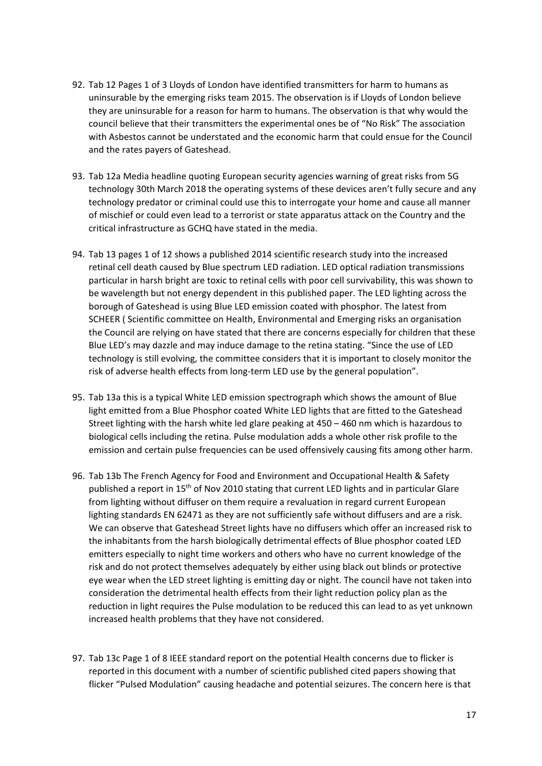- 92. Tab 12 Pages 1 of 3 Lloyds of London have identified transmitters for harm to humans as uninsurable by the emerging risks team 2015. The observation is if Lloyds of London believe they are uninsurable for a reason for harm to humans. The observation is that why would the council believe that their transmitters the experimental ones be of "No Risk" The association with Asbestos cannot be understated and the economic harm that could ensue for the Council and the rates payers of Gateshead.
- 93. Tab 12a Media headline quoting European security agencies warning of great risks from 5G technology 30th March 2018 the operating systems of these devices aren't fully secure and any technology predator or criminal could use this to interrogate your home and cause all manner of mischief or could even lead to a terrorist or state apparatus attack on the Country and the critical infrastructure as GCHQ have stated in the media.
- 94. Tab 13 pages 1 of 12 shows a published 2014 scientific research study into the increased retinal cell death caused by Blue spectrum LED radiation. LED optical radiation transmissions particular in harsh bright are toxic to retinal cells with poor cell survivability, this was shown to be wavelength but not energy dependent in this published paper. The LED lighting across the borough of Gateshead is using Blue LED emission coated with phosphor. The latest from SCHEER ( Scientific committee on Health, Environmental and Emerging risks an organisation the Council are relying on have stated that there are concerns especially for children that these Blue LED's may dazzle and may induce damage to the retina stating. "Since the use of LED technology is still evolving, the committee considers that it is important to closely monitor the risk of adverse health effects from long-term LED use by the general population".
- 95. Tab 13a this is a typical White LED emission spectrograph which shows the amount of Blue light emitted from a Blue Phosphor coated White LED lights that are fitted to the Gateshead Street lighting with the harsh white led glare peaking at 450 – 460 nm which is hazardous to biological cells including the retina. Pulse modulation adds a whole other risk profile to the emission and certain pulse frequencies can be used offensively causing fits among other harm.
- 96. Tab 13b The French Agency for Food and Environment and Occupational Health & Safety published a report in  $15<sup>th</sup>$  of Nov 2010 stating that current LED lights and in particular Glare from lighting without diffuser on them require a revaluation in regard current European lighting standards EN 62471 as they are not sufficiently safe without diffusers and are a risk. We can observe that Gateshead Street lights have no diffusers which offer an increased risk to the inhabitants from the harsh biologically detrimental effects of Blue phosphor coated LED emitters especially to night time workers and others who have no current knowledge of the risk and do not protect themselves adequately by either using black out blinds or protective eye wear when the LED street lighting is emitting day or night. The council have not taken into consideration the detrimental health effects from their light reduction policy plan as the reduction in light requires the Pulse modulation to be reduced this can lead to as yet unknown increased health problems that they have not considered.
- 97. Tab 13c Page 1 of 8 IEEE standard report on the potential Health concerns due to flicker is reported in this document with a number of scientific published cited papers showing that flicker "Pulsed Modulation" causing headache and potential seizures. The concern here is that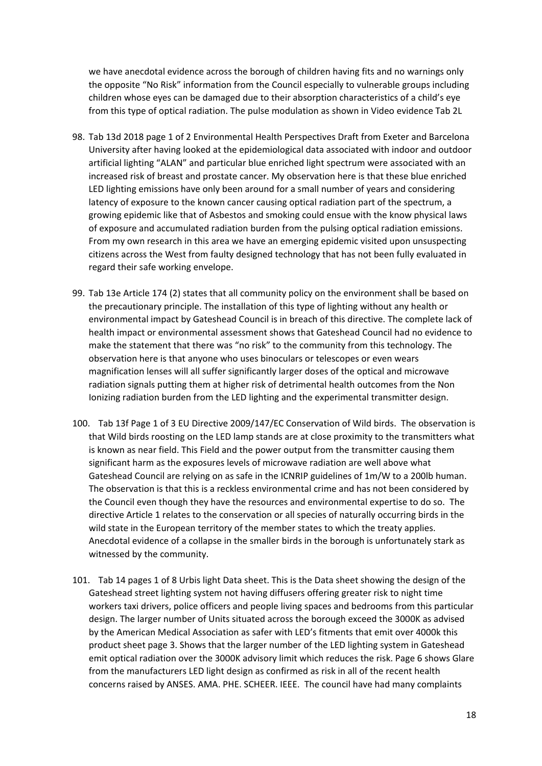we have anecdotal evidence across the borough of children having fits and no warnings only the opposite "No Risk" information from the Council especially to vulnerable groups including children whose eyes can be damaged due to their absorption characteristics of a child's eye from this type of optical radiation. The pulse modulation as shown in Video evidence Tab 2L

- 98. Tab 13d 2018 page 1 of 2 Environmental Health Perspectives Draft from Exeter and Barcelona University after having looked at the epidemiological data associated with indoor and outdoor artificial lighting "ALAN" and particular blue enriched light spectrum were associated with an increased risk of breast and prostate cancer. My observation here is that these blue enriched LED lighting emissions have only been around for a small number of years and considering latency of exposure to the known cancer causing optical radiation part of the spectrum, a growing epidemic like that of Asbestos and smoking could ensue with the know physical laws of exposure and accumulated radiation burden from the pulsing optical radiation emissions. From my own research in this area we have an emerging epidemic visited upon unsuspecting citizens across the West from faulty designed technology that has not been fully evaluated in regard their safe working envelope.
- 99. Tab 13e Article 174 (2) states that all community policy on the environment shall be based on the precautionary principle. The installation of this type of lighting without any health or environmental impact by Gateshead Council is in breach of this directive. The complete lack of health impact or environmental assessment shows that Gateshead Council had no evidence to make the statement that there was "no risk" to the community from this technology. The observation here is that anyone who uses binoculars or telescopes or even wears magnification lenses will all suffer significantly larger doses of the optical and microwave radiation signals putting them at higher risk of detrimental health outcomes from the Non Ionizing radiation burden from the LED lighting and the experimental transmitter design.
- 100. Tab 13f Page 1 of 3 EU Directive 2009/147/EC Conservation of Wild birds. The observation is that Wild birds roosting on the LED lamp stands are at close proximity to the transmitters what is known as near field. This Field and the power output from the transmitter causing them significant harm as the exposures levels of microwave radiation are well above what Gateshead Council are relying on as safe in the ICNRIP guidelines of 1m/W to a 200lb human. The observation is that this is a reckless environmental crime and has not been considered by the Council even though they have the resources and environmental expertise to do so. The directive Article 1 relates to the conservation or all species of naturally occurring birds in the wild state in the European territory of the member states to which the treaty applies. Anecdotal evidence of a collapse in the smaller birds in the borough is unfortunately stark as witnessed by the community.
- 101. Tab 14 pages 1 of 8 Urbis light Data sheet. This is the Data sheet showing the design of the Gateshead street lighting system not having diffusers offering greater risk to night time workers taxi drivers, police officers and people living spaces and bedrooms from this particular design. The larger number of Units situated across the borough exceed the 3000K as advised by the American Medical Association as safer with LED's fitments that emit over 4000k this product sheet page 3. Shows that the larger number of the LED lighting system in Gateshead emit optical radiation over the 3000K advisory limit which reduces the risk. Page 6 shows Glare from the manufacturers LED light design as confirmed as risk in all of the recent health concerns raised by ANSES. AMA. PHE. SCHEER. IEEE. The council have had many complaints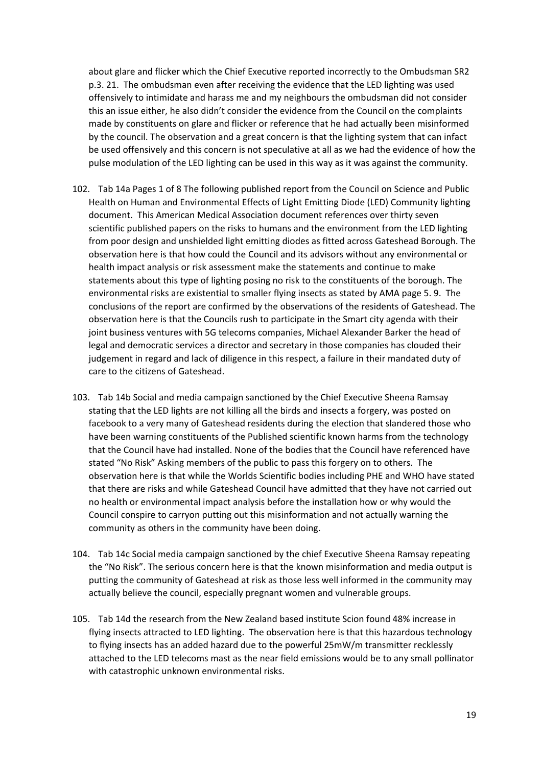about glare and flicker which the Chief Executive reported incorrectly to the Ombudsman SR2 p.3. 21. The ombudsman even after receiving the evidence that the LED lighting was used offensively to intimidate and harass me and my neighbours the ombudsman did not consider this an issue either, he also didn't consider the evidence from the Council on the complaints made by constituents on glare and flicker or reference that he had actually been misinformed by the council. The observation and a great concern is that the lighting system that can infact be used offensively and this concern is not speculative at all as we had the evidence of how the pulse modulation of the LED lighting can be used in this way as it was against the community.

- 102. Tab 14a Pages 1 of 8 The following published report from the Council on Science and Public Health on Human and Environmental Effects of Light Emitting Diode (LED) Community lighting document. This American Medical Association document references over thirty seven scientific published papers on the risks to humans and the environment from the LED lighting from poor design and unshielded light emitting diodes as fitted across Gateshead Borough. The observation here is that how could the Council and its advisors without any environmental or health impact analysis or risk assessment make the statements and continue to make statements about this type of lighting posing no risk to the constituents of the borough. The environmental risks are existential to smaller flying insects as stated by AMA page 5. 9. The conclusions of the report are confirmed by the observations of the residents of Gateshead. The observation here is that the Councils rush to participate in the Smart city agenda with their joint business ventures with 5G telecoms companies, Michael Alexander Barker the head of legal and democratic services a director and secretary in those companies has clouded their judgement in regard and lack of diligence in this respect, a failure in their mandated duty of care to the citizens of Gateshead.
- 103. Tab 14b Social and media campaign sanctioned by the Chief Executive Sheena Ramsay stating that the LED lights are not killing all the birds and insects a forgery, was posted on facebook to a very many of Gateshead residents during the election that slandered those who have been warning constituents of the Published scientific known harms from the technology that the Council have had installed. None of the bodies that the Council have referenced have stated "No Risk" Asking members of the public to pass this forgery on to others. The observation here is that while the Worlds Scientific bodies including PHE and WHO have stated that there are risks and while Gateshead Council have admitted that they have not carried out no health or environmental impact analysis before the installation how or why would the Council conspire to carryon putting out this misinformation and not actually warning the community as others in the community have been doing.
- 104. Tab 14c Social media campaign sanctioned by the chief Executive Sheena Ramsay repeating the "No Risk". The serious concern here is that the known misinformation and media output is putting the community of Gateshead at risk as those less well informed in the community may actually believe the council, especially pregnant women and vulnerable groups.
- 105. Tab 14d the research from the New Zealand based institute Scion found 48% increase in flying insects attracted to LED lighting. The observation here is that this hazardous technology to flying insects has an added hazard due to the powerful 25mW/m transmitter recklessly attached to the LED telecoms mast as the near field emissions would be to any small pollinator with catastrophic unknown environmental risks.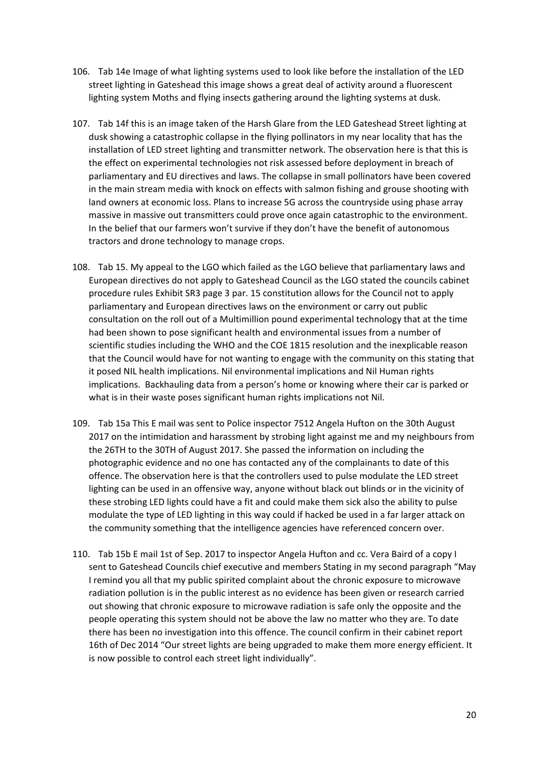- 106. Tab 14e Image of what lighting systems used to look like before the installation of the LED street lighting in Gateshead this image shows a great deal of activity around a fluorescent lighting system Moths and flying insects gathering around the lighting systems at dusk.
- 107. Tab 14f this is an image taken of the Harsh Glare from the LED Gateshead Street lighting at dusk showing a catastrophic collapse in the flying pollinators in my near locality that has the installation of LED street lighting and transmitter network. The observation here is that this is the effect on experimental technologies not risk assessed before deployment in breach of parliamentary and EU directives and laws. The collapse in small pollinators have been covered in the main stream media with knock on effects with salmon fishing and grouse shooting with land owners at economic loss. Plans to increase 5G across the countryside using phase array massive in massive out transmitters could prove once again catastrophic to the environment. In the belief that our farmers won't survive if they don't have the benefit of autonomous tractors and drone technology to manage crops.
- 108. Tab 15. My appeal to the LGO which failed as the LGO believe that parliamentary laws and European directives do not apply to Gateshead Council as the LGO stated the councils cabinet procedure rules Exhibit SR3 page 3 par. 15 constitution allows for the Council not to apply parliamentary and European directives laws on the environment or carry out public consultation on the roll out of a Multimillion pound experimental technology that at the time had been shown to pose significant health and environmental issues from a number of scientific studies including the WHO and the COE 1815 resolution and the inexplicable reason that the Council would have for not wanting to engage with the community on this stating that it posed NIL health implications. Nil environmental implications and Nil Human rights implications. Backhauling data from a person's home or knowing where their car is parked or what is in their waste poses significant human rights implications not Nil.
- 109. Tab 15a This E mail was sent to Police inspector 7512 Angela Hufton on the 30th August 2017 on the intimidation and harassment by strobing light against me and my neighbours from the 26TH to the 30TH of August 2017. She passed the information on including the photographic evidence and no one has contacted any of the complainants to date of this offence. The observation here is that the controllers used to pulse modulate the LED street lighting can be used in an offensive way, anyone without black out blinds or in the vicinity of these strobing LED lights could have a fit and could make them sick also the ability to pulse modulate the type of LED lighting in this way could if hacked be used in a far larger attack on the community something that the intelligence agencies have referenced concern over.
- 110. Tab 15b E mail 1st of Sep. 2017 to inspector Angela Hufton and cc. Vera Baird of a copy I sent to Gateshead Councils chief executive and members Stating in my second paragraph "May I remind you all that my public spirited complaint about the chronic exposure to microwave radiation pollution is in the public interest as no evidence has been given or research carried out showing that chronic exposure to microwave radiation is safe only the opposite and the people operating this system should not be above the law no matter who they are. To date there has been no investigation into this offence. The council confirm in their cabinet report 16th of Dec 2014 "Our street lights are being upgraded to make them more energy efficient. It is now possible to control each street light individually".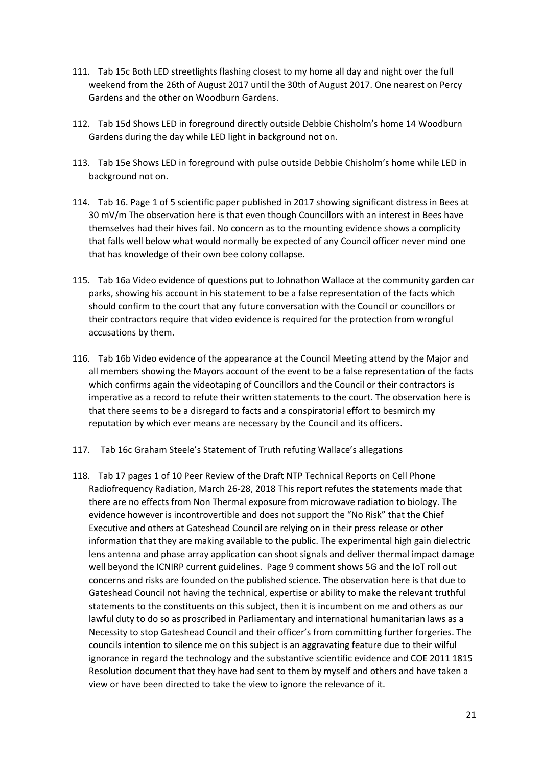- 111. Tab 15c Both LED streetlights flashing closest to my home all day and night over the full weekend from the 26th of August 2017 until the 30th of August 2017. One nearest on Percy Gardens and the other on Woodburn Gardens.
- 112. Tab 15d Shows LED in foreground directly outside Debbie Chisholm's home 14 Woodburn Gardens during the day while LED light in background not on.
- 113. Tab 15e Shows LED in foreground with pulse outside Debbie Chisholm's home while LED in background not on.
- 114. Tab 16. Page 1 of 5 scientific paper published in 2017 showing significant distress in Bees at 30 mV/m The observation here is that even though Councillors with an interest in Bees have themselves had their hives fail. No concern as to the mounting evidence shows a complicity that falls well below what would normally be expected of any Council officer never mind one that has knowledge of their own bee colony collapse.
- 115. Tab 16a Video evidence of questions put to Johnathon Wallace at the community garden car parks, showing his account in his statement to be a false representation of the facts which should confirm to the court that any future conversation with the Council or councillors or their contractors require that video evidence is required for the protection from wrongful accusations by them.
- 116. Tab 16b Video evidence of the appearance at the Council Meeting attend by the Major and all members showing the Mayors account of the event to be a false representation of the facts which confirms again the videotaping of Councillors and the Council or their contractors is imperative as a record to refute their written statements to the court. The observation here is that there seems to be a disregard to facts and a conspiratorial effort to besmirch my reputation by which ever means are necessary by the Council and its officers.
- 117. Tab 16c Graham Steele's Statement of Truth refuting Wallace's allegations
- 118. Tab 17 pages 1 of 10 Peer Review of the Draft NTP Technical Reports on Cell Phone Radiofrequency Radiation, March 26-28, 2018 This report refutes the statements made that there are no effects from Non Thermal exposure from microwave radiation to biology. The evidence however is incontrovertible and does not support the "No Risk" that the Chief Executive and others at Gateshead Council are relying on in their press release or other information that they are making available to the public. The experimental high gain dielectric lens antenna and phase array application can shoot signals and deliver thermal impact damage well beyond the ICNIRP current guidelines. Page 9 comment shows 5G and the IoT roll out concerns and risks are founded on the published science. The observation here is that due to Gateshead Council not having the technical, expertise or ability to make the relevant truthful statements to the constituents on this subject, then it is incumbent on me and others as our lawful duty to do so as proscribed in Parliamentary and international humanitarian laws as a Necessity to stop Gateshead Council and their officer's from committing further forgeries. The councils intention to silence me on this subject is an aggravating feature due to their wilful ignorance in regard the technology and the substantive scientific evidence and COE 2011 1815 Resolution document that they have had sent to them by myself and others and have taken a view or have been directed to take the view to ignore the relevance of it.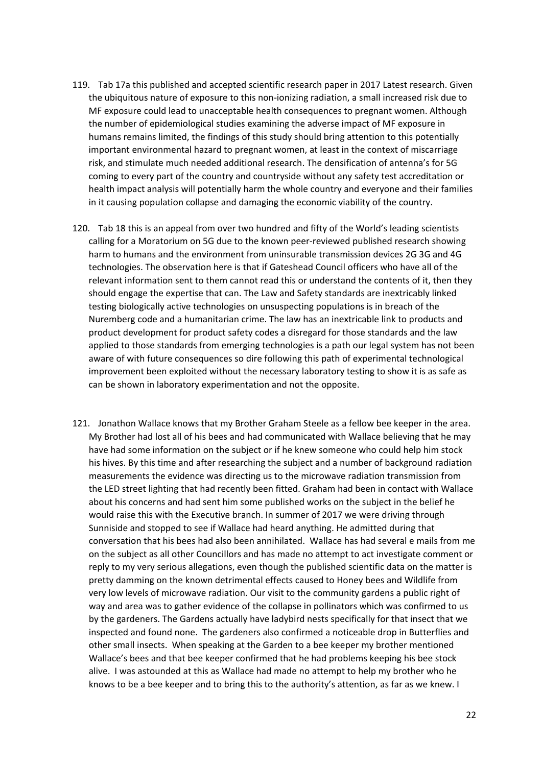- 119. Tab 17a this published and accepted scientific research paper in 2017 Latest research. Given the ubiquitous nature of exposure to this non-ionizing radiation, a small increased risk due to MF exposure could lead to unacceptable health consequences to pregnant women. Although the number of epidemiological studies examining the adverse impact of MF exposure in humans remains limited, the findings of this study should bring attention to this potentially important environmental hazard to pregnant women, at least in the context of miscarriage risk, and stimulate much needed additional research. The densification of antenna's for 5G coming to every part of the country and countryside without any safety test accreditation or health impact analysis will potentially harm the whole country and everyone and their families in it causing population collapse and damaging the economic viability of the country.
- 120. Tab 18 this is an appeal from over two hundred and fifty of the World's leading scientists calling for a Moratorium on 5G due to the known peer-reviewed published research showing harm to humans and the environment from uninsurable transmission devices 2G 3G and 4G technologies. The observation here is that if Gateshead Council officers who have all of the relevant information sent to them cannot read this or understand the contents of it, then they should engage the expertise that can. The Law and Safety standards are inextricably linked testing biologically active technologies on unsuspecting populations is in breach of the Nuremberg code and a humanitarian crime. The law has an inextricable link to products and product development for product safety codes a disregard for those standards and the law applied to those standards from emerging technologies is a path our legal system has not been aware of with future consequences so dire following this path of experimental technological improvement been exploited without the necessary laboratory testing to show it is as safe as can be shown in laboratory experimentation and not the opposite.
- 121. Jonathon Wallace knows that my Brother Graham Steele as a fellow bee keeper in the area. My Brother had lost all of his bees and had communicated with Wallace believing that he may have had some information on the subject or if he knew someone who could help him stock his hives. By this time and after researching the subject and a number of background radiation measurements the evidence was directing us to the microwave radiation transmission from the LED street lighting that had recently been fitted. Graham had been in contact with Wallace about his concerns and had sent him some published works on the subject in the belief he would raise this with the Executive branch. In summer of 2017 we were driving through Sunniside and stopped to see if Wallace had heard anything. He admitted during that conversation that his bees had also been annihilated. Wallace has had several e mails from me on the subject as all other Councillors and has made no attempt to act investigate comment or reply to my very serious allegations, even though the published scientific data on the matter is pretty damming on the known detrimental effects caused to Honey bees and Wildlife from very low levels of microwave radiation. Our visit to the community gardens a public right of way and area was to gather evidence of the collapse in pollinators which was confirmed to us by the gardeners. The Gardens actually have ladybird nests specifically for that insect that we inspected and found none. The gardeners also confirmed a noticeable drop in Butterflies and other small insects. When speaking at the Garden to a bee keeper my brother mentioned Wallace's bees and that bee keeper confirmed that he had problems keeping his bee stock alive. I was astounded at this as Wallace had made no attempt to help my brother who he knows to be a bee keeper and to bring this to the authority's attention, as far as we knew. I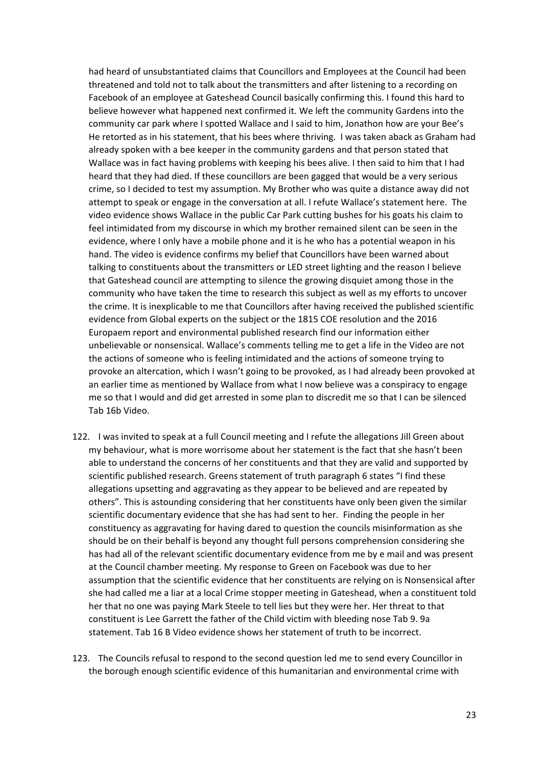had heard of unsubstantiated claims that Councillors and Employees at the Council had been threatened and told not to talk about the transmitters and after listening to a recording on Facebook of an employee at Gateshead Council basically confirming this. I found this hard to believe however what happened next confirmed it. We left the community Gardens into the community car park where I spotted Wallace and I said to him, Jonathon how are your Bee's He retorted as in his statement, that his bees where thriving. I was taken aback as Graham had already spoken with a bee keeper in the community gardens and that person stated that Wallace was in fact having problems with keeping his bees alive. I then said to him that I had heard that they had died. If these councillors are been gagged that would be a very serious crime, so I decided to test my assumption. My Brother who was quite a distance away did not attempt to speak or engage in the conversation at all. I refute Wallace's statement here. The video evidence shows Wallace in the public Car Park cutting bushes for his goats his claim to feel intimidated from my discourse in which my brother remained silent can be seen in the evidence, where I only have a mobile phone and it is he who has a potential weapon in his hand. The video is evidence confirms my belief that Councillors have been warned about talking to constituents about the transmitters or LED street lighting and the reason I believe that Gateshead council are attempting to silence the growing disquiet among those in the community who have taken the time to research this subject as well as my efforts to uncover the crime. It is inexplicable to me that Councillors after having received the published scientific evidence from Global experts on the subject or the 1815 COE resolution and the 2016 Europaem report and environmental published research find our information either unbelievable or nonsensical. Wallace's comments telling me to get a life in the Video are not the actions of someone who is feeling intimidated and the actions of someone trying to provoke an altercation, which I wasn't going to be provoked, as I had already been provoked at an earlier time as mentioned by Wallace from what I now believe was a conspiracy to engage me so that I would and did get arrested in some plan to discredit me so that I can be silenced Tab 16b Video.

- 122. I was invited to speak at a full Council meeting and I refute the allegations Jill Green about my behaviour, what is more worrisome about her statement is the fact that she hasn't been able to understand the concerns of her constituents and that they are valid and supported by scientific published research. Greens statement of truth paragraph 6 states "I find these allegations upsetting and aggravating as they appear to be believed and are repeated by others". This is astounding considering that her constituents have only been given the similar scientific documentary evidence that she has had sent to her. Finding the people in her constituency as aggravating for having dared to question the councils misinformation as she should be on their behalf is beyond any thought full persons comprehension considering she has had all of the relevant scientific documentary evidence from me by e mail and was present at the Council chamber meeting. My response to Green on Facebook was due to her assumption that the scientific evidence that her constituents are relying on is Nonsensical after she had called me a liar at a local Crime stopper meeting in Gateshead, when a constituent told her that no one was paying Mark Steele to tell lies but they were her. Her threat to that constituent is Lee Garrett the father of the Child victim with bleeding nose Tab 9. 9a statement. Tab 16 B Video evidence shows her statement of truth to be incorrect.
- 123. The Councils refusal to respond to the second question led me to send every Councillor in the borough enough scientific evidence of this humanitarian and environmental crime with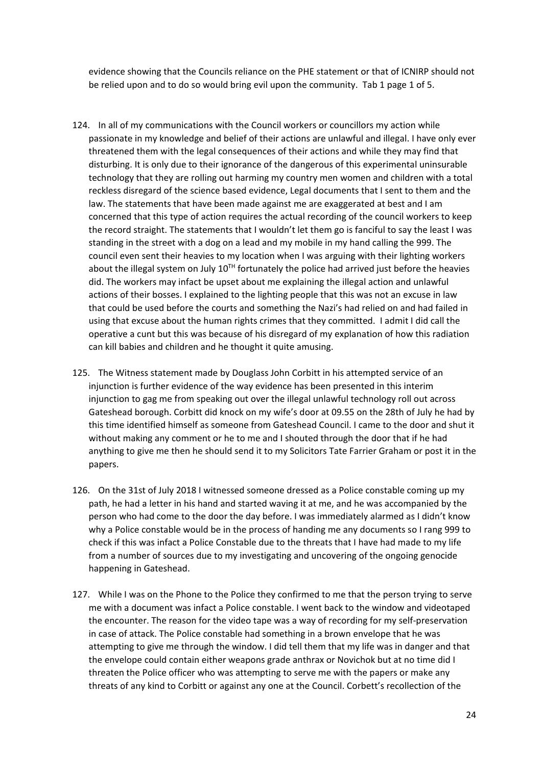evidence showing that the Councils reliance on the PHE statement or that of ICNIRP should not be relied upon and to do so would bring evil upon the community. Tab 1 page 1 of 5.

- 124. In all of my communications with the Council workers or councillors my action while passionate in my knowledge and belief of their actions are unlawful and illegal. I have only ever threatened them with the legal consequences of their actions and while they may find that disturbing. It is only due to their ignorance of the dangerous of this experimental uninsurable technology that they are rolling out harming my country men women and children with a total reckless disregard of the science based evidence, Legal documents that I sent to them and the law. The statements that have been made against me are exaggerated at best and I am concerned that this type of action requires the actual recording of the council workers to keep the record straight. The statements that I wouldn't let them go is fanciful to say the least I was standing in the street with a dog on a lead and my mobile in my hand calling the 999. The council even sent their heavies to my location when I was arguing with their lighting workers about the illegal system on July  $10^{TH}$  fortunately the police had arrived just before the heavies did. The workers may infact be upset about me explaining the illegal action and unlawful actions of their bosses. I explained to the lighting people that this was not an excuse in law that could be used before the courts and something the Nazi's had relied on and had failed in using that excuse about the human rights crimes that they committed. I admit I did call the operative a cunt but this was because of his disregard of my explanation of how this radiation can kill babies and children and he thought it quite amusing.
- 125. The Witness statement made by Douglass John Corbitt in his attempted service of an injunction is further evidence of the way evidence has been presented in this interim injunction to gag me from speaking out over the illegal unlawful technology roll out across Gateshead borough. Corbitt did knock on my wife's door at 09.55 on the 28th of July he had by this time identified himself as someone from Gateshead Council. I came to the door and shut it without making any comment or he to me and I shouted through the door that if he had anything to give me then he should send it to my Solicitors Tate Farrier Graham or post it in the papers.
- 126. On the 31st of July 2018 I witnessed someone dressed as a Police constable coming up my path, he had a letter in his hand and started waving it at me, and he was accompanied by the person who had come to the door the day before. I was immediately alarmed as I didn't know why a Police constable would be in the process of handing me any documents so I rang 999 to check if this was infact a Police Constable due to the threats that I have had made to my life from a number of sources due to my investigating and uncovering of the ongoing genocide happening in Gateshead.
- 127. While I was on the Phone to the Police they confirmed to me that the person trying to serve me with a document was infact a Police constable. I went back to the window and videotaped the encounter. The reason for the video tape was a way of recording for my self-preservation in case of attack. The Police constable had something in a brown envelope that he was attempting to give me through the window. I did tell them that my life was in danger and that the envelope could contain either weapons grade anthrax or Novichok but at no time did I threaten the Police officer who was attempting to serve me with the papers or make any threats of any kind to Corbitt or against any one at the Council. Corbett's recollection of the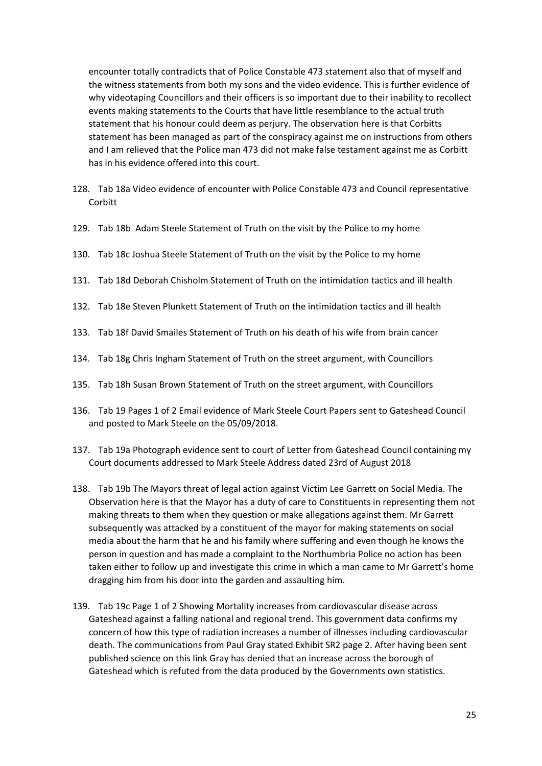encounter totally contradicts that of Police Constable 473 statement also that of myself and the witness statements from both my sons and the video evidence. This is further evidence of why videotaping Councillors and their officers is so important due to their inability to recollect events making statements to the Courts that have little resemblance to the actual truth statement that his honour could deem as perjury. The observation here is that Corbitts statement has been managed as part of the conspiracy against me on instructions from others and I am relieved that the Police man 473 did not make false testament against me as Corbitt has in his evidence offered into this court.

- 128. Tab 18a Video evidence of encounter with Police Constable 473 and Council representative Corbitt
- 129. Tab 18b Adam Steele Statement of Truth on the visit by the Police to my home
- 130. Tab 18c Joshua Steele Statement of Truth on the visit by the Police to my home
- 131. Tab 18d Deborah Chisholm Statement of Truth on the intimidation tactics and ill health
- 132. Tab 18e Steven Plunkett Statement of Truth on the intimidation tactics and ill health
- 133. Tab 18f David Smailes Statement of Truth on his death of his wife from brain cancer
- 134. Tab 18g Chris Ingham Statement of Truth on the street argument, with Councillors
- 135. Tab 18h Susan Brown Statement of Truth on the street argument, with Councillors
- 136. Tab 19 Pages 1 of 2 Email evidence of Mark Steele Court Papers sent to Gateshead Council and posted to Mark Steele on the 05/09/2018.
- 137. Tab 19a Photograph evidence sent to court of Letter from Gateshead Council containing my Court documents addressed to Mark Steele Address dated 23rd of August 2018
- 138. Tab 19b The Mayors threat of legal action against Victim Lee Garrett on Social Media. The Observation here is that the Mayor has a duty of care to Constituents in representing them not making threats to them when they question or make allegations against them. Mr Garrett subsequently was attacked by a constituent of the mayor for making statements on social media about the harm that he and his family where suffering and even though he knows the person in question and has made a complaint to the Northumbria Police no action has been taken either to follow up and investigate this crime in which a man came to Mr Garrett's home dragging him from his door into the garden and assaulting him.
- 139. Tab 19c Page 1 of 2 Showing Mortality increases from cardiovascular disease across Gateshead against a falling national and regional trend. This government data confirms my concern of how this type of radiation increases a number of illnesses including cardiovascular death. The communications from Paul Gray stated Exhibit SR2 page 2. After having been sent published science on this link Gray has denied that an increase across the borough of Gateshead which is refuted from the data produced by the Governments own statistics.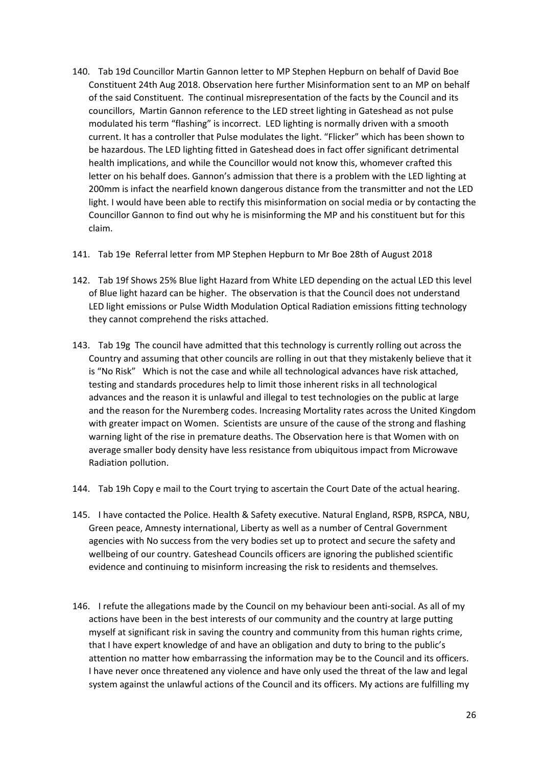- 140. Tab 19d Councillor Martin Gannon letter to MP Stephen Hepburn on behalf of David Boe Constituent 24th Aug 2018. Observation here further Misinformation sent to an MP on behalf of the said Constituent. The continual misrepresentation of the facts by the Council and its councillors, Martin Gannon reference to the LED street lighting in Gateshead as not pulse modulated his term "flashing" is incorrect. LED lighting is normally driven with a smooth current. It has a controller that Pulse modulates the light. "Flicker" which has been shown to be hazardous. The LED lighting fitted in Gateshead does in fact offer significant detrimental health implications, and while the Councillor would not know this, whomever crafted this letter on his behalf does. Gannon's admission that there is a problem with the LED lighting at 200mm is infact the nearfield known dangerous distance from the transmitter and not the LED light. I would have been able to rectify this misinformation on social media or by contacting the Councillor Gannon to find out why he is misinforming the MP and his constituent but for this claim.
- 141. Tab 19e Referral letter from MP Stephen Hepburn to Mr Boe 28th of August 2018
- 142. Tab 19f Shows 25% Blue light Hazard from White LED depending on the actual LED this level of Blue light hazard can be higher. The observation is that the Council does not understand LED light emissions or Pulse Width Modulation Optical Radiation emissions fitting technology they cannot comprehend the risks attached.
- 143. Tab 19g The council have admitted that this technology is currently rolling out across the Country and assuming that other councils are rolling in out that they mistakenly believe that it is "No Risk" Which is not the case and while all technological advances have risk attached, testing and standards procedures help to limit those inherent risks in all technological advances and the reason it is unlawful and illegal to test technologies on the public at large and the reason for the Nuremberg codes. Increasing Mortality rates across the United Kingdom with greater impact on Women. Scientists are unsure of the cause of the strong and flashing warning light of the rise in premature deaths. The Observation here is that Women with on average smaller body density have less resistance from ubiquitous impact from Microwave Radiation pollution.
- 144. Tab 19h Copy e mail to the Court trying to ascertain the Court Date of the actual hearing.
- 145. I have contacted the Police. Health & Safety executive. Natural England, RSPB, RSPCA, NBU, Green peace, Amnesty international, Liberty as well as a number of Central Government agencies with No success from the very bodies set up to protect and secure the safety and wellbeing of our country. Gateshead Councils officers are ignoring the published scientific evidence and continuing to misinform increasing the risk to residents and themselves.
- 146. I refute the allegations made by the Council on my behaviour been anti-social. As all of my actions have been in the best interests of our community and the country at large putting myself at significant risk in saving the country and community from this human rights crime, that I have expert knowledge of and have an obligation and duty to bring to the public's attention no matter how embarrassing the information may be to the Council and its officers. I have never once threatened any violence and have only used the threat of the law and legal system against the unlawful actions of the Council and its officers. My actions are fulfilling my